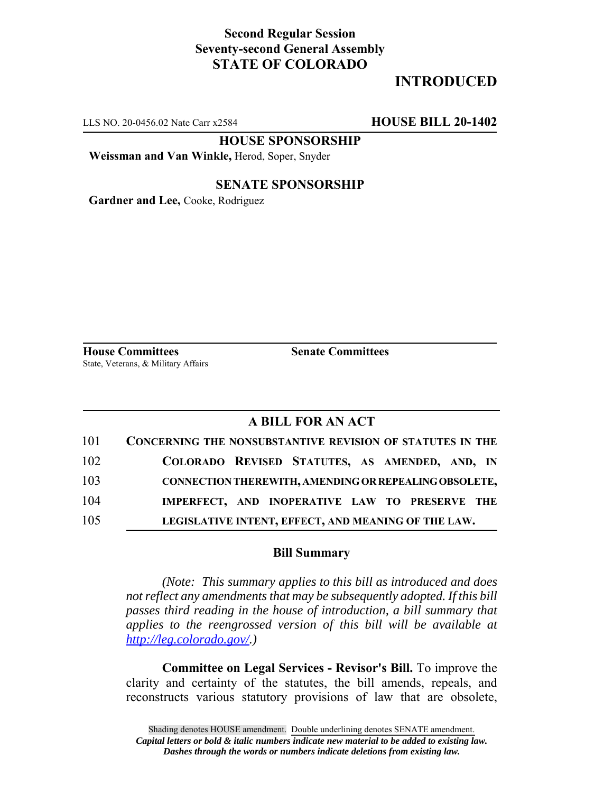### **Second Regular Session Seventy-second General Assembly STATE OF COLORADO**

## **INTRODUCED**

LLS NO. 20-0456.02 Nate Carr x2584 **HOUSE BILL 20-1402**

**HOUSE SPONSORSHIP**

**Weissman and Van Winkle,** Herod, Soper, Snyder

#### **SENATE SPONSORSHIP**

**Gardner and Lee,** Cooke, Rodriguez

**House Committees Senate Committees** State, Veterans, & Military Affairs

#### **A BILL FOR AN ACT**

| 101 | CONCERNING THE NONSUBSTANTIVE REVISION OF STATUTES IN THE |
|-----|-----------------------------------------------------------|
| 102 | COLORADO REVISED STATUTES, AS AMENDED, AND, IN            |
| 103 | CONNECTION THEREWITH, AMENDING OR REPEALING OBSOLETE,     |
| 104 | IMPERFECT, AND INOPERATIVE LAW TO PRESERVE THE            |
| 105 | LEGISLATIVE INTENT, EFFECT, AND MEANING OF THE LAW.       |

#### **Bill Summary**

*(Note: This summary applies to this bill as introduced and does not reflect any amendments that may be subsequently adopted. If this bill passes third reading in the house of introduction, a bill summary that applies to the reengrossed version of this bill will be available at http://leg.colorado.gov/.)*

**Committee on Legal Services - Revisor's Bill.** To improve the clarity and certainty of the statutes, the bill amends, repeals, and reconstructs various statutory provisions of law that are obsolete,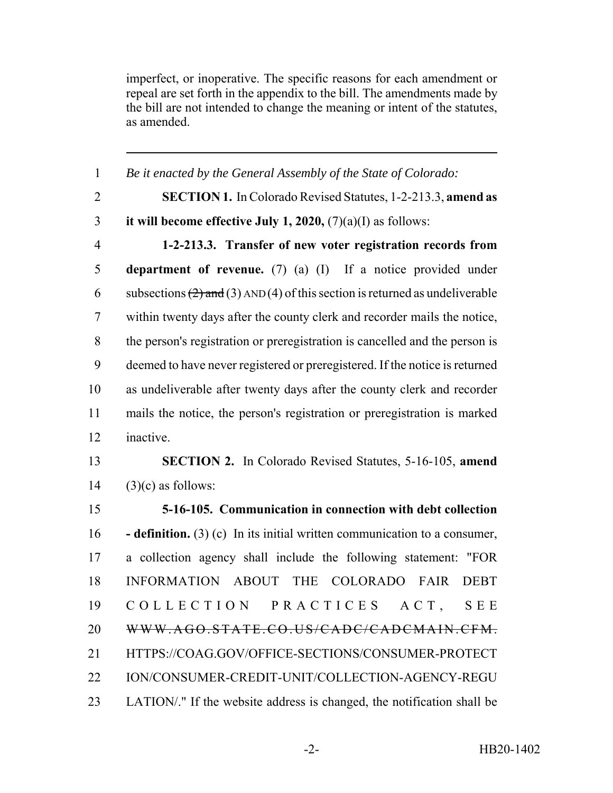imperfect, or inoperative. The specific reasons for each amendment or repeal are set forth in the appendix to the bill. The amendments made by the bill are not intended to change the meaning or intent of the statutes, as amended.

| $\mathbf{1}$   | Be it enacted by the General Assembly of the State of Colorado:                    |
|----------------|------------------------------------------------------------------------------------|
| $\overline{2}$ | <b>SECTION 1.</b> In Colorado Revised Statutes, 1-2-213.3, amend as                |
| 3              | it will become effective July 1, 2020, $(7)(a)(I)$ as follows:                     |
| $\overline{4}$ | 1-2-213.3. Transfer of new voter registration records from                         |
| $\mathfrak s$  | department of revenue. $(7)$ (a) $(I)$ If a notice provided under                  |
| 6              | subsections $(2)$ and $(3)$ AND $(4)$ of this section is returned as undeliverable |
| $\tau$         | within twenty days after the county clerk and recorder mails the notice,           |
| $8\,$          | the person's registration or preregistration is cancelled and the person is        |
| 9              | deemed to have never registered or preregistered. If the notice is returned        |
| 10             | as undeliverable after twenty days after the county clerk and recorder             |
| 11             | mails the notice, the person's registration or preregistration is marked           |
| 12             | inactive.                                                                          |
| 13             | <b>SECTION 2.</b> In Colorado Revised Statutes, 5-16-105, amend                    |
| 14             | $(3)(c)$ as follows:                                                               |
| 15             | 5-16-105. Communication in connection with debt collection                         |
| 16             | <b>- definition.</b> (3) (c) In its initial written communication to a consumer,   |
| 17             | a collection agency shall include the following statement: "FOR                    |
| 18             | INFORMATION ABOUT THE<br>COLORADO FAIR<br><b>DEBT</b>                              |
| 19             | COLLECTION PRACTICES<br>ACT,<br><b>SEE</b>                                         |
| 20             | WWW.AGO.STATE.CO.US/CADC/CADCMAIN.CFM.                                             |
| 21             | HTTPS://COAG.GOV/OFFICE-SECTIONS/CONSUMER-PROTECT                                  |
| 22             | ION/CONSUMER-CREDIT-UNIT/COLLECTION-AGENCY-REGU                                    |
|                |                                                                                    |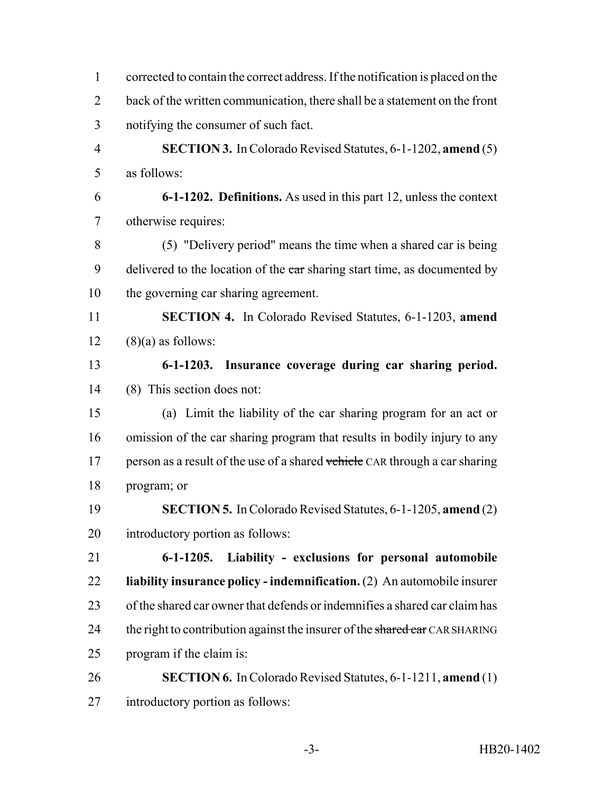| $\mathbf{1}$   | corrected to contain the correct address. If the notification is placed on the |  |  |  |  |
|----------------|--------------------------------------------------------------------------------|--|--|--|--|
| $\overline{2}$ | back of the written communication, there shall be a statement on the front     |  |  |  |  |
| 3              | notifying the consumer of such fact.                                           |  |  |  |  |
| $\overline{4}$ | <b>SECTION 3.</b> In Colorado Revised Statutes, 6-1-1202, amend (5)            |  |  |  |  |
| 5              | as follows:                                                                    |  |  |  |  |
| 6              | 6-1-1202. Definitions. As used in this part 12, unless the context             |  |  |  |  |
| 7              | otherwise requires:                                                            |  |  |  |  |
| 8              | (5) "Delivery period" means the time when a shared car is being                |  |  |  |  |
| 9              | delivered to the location of the ear sharing start time, as documented by      |  |  |  |  |
| 10             | the governing car sharing agreement.                                           |  |  |  |  |
| 11             | <b>SECTION 4.</b> In Colorado Revised Statutes, 6-1-1203, amend                |  |  |  |  |
| 12             | $(8)(a)$ as follows:                                                           |  |  |  |  |
| 13             | 6-1-1203. Insurance coverage during car sharing period.                        |  |  |  |  |
| 14             | (8) This section does not:                                                     |  |  |  |  |
| 15             | (a) Limit the liability of the car sharing program for an act or               |  |  |  |  |
| 16             | omission of the car sharing program that results in bodily injury to any       |  |  |  |  |
| 17             | person as a result of the use of a shared vehicle CAR through a car sharing    |  |  |  |  |
| 18             | program; or                                                                    |  |  |  |  |
| 19             | <b>SECTION 5.</b> In Colorado Revised Statutes, 6-1-1205, amend (2)            |  |  |  |  |
| 20             | introductory portion as follows:                                               |  |  |  |  |
| 21             | Liability - exclusions for personal automobile<br>$6 - 1 - 1205.$              |  |  |  |  |
| 22             | liability insurance policy - indemnification. $(2)$ An automobile insurer      |  |  |  |  |
| 23             | of the shared car owner that defends or indemnifies a shared car claim has     |  |  |  |  |
| 24             | the right to contribution against the insurer of the shared car CAR SHARING    |  |  |  |  |
| 25             | program if the claim is:                                                       |  |  |  |  |
| 26             | <b>SECTION 6.</b> In Colorado Revised Statutes, 6-1-1211, amend (1)            |  |  |  |  |
| 27             | introductory portion as follows:                                               |  |  |  |  |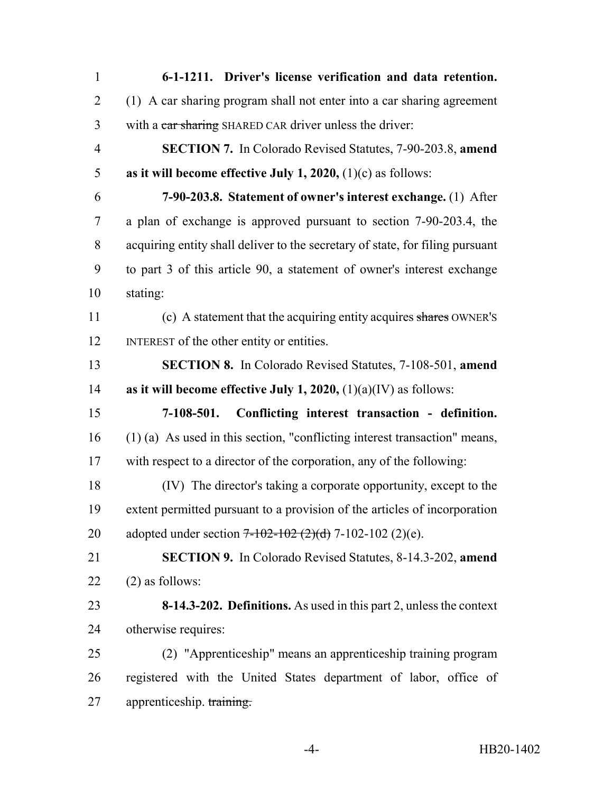**6-1-1211. Driver's license verification and data retention.** (1) A car sharing program shall not enter into a car sharing agreement 3 with a car sharing SHARED CAR driver unless the driver: **SECTION 7.** In Colorado Revised Statutes, 7-90-203.8, **amend as it will become effective July 1, 2020,** (1)(c) as follows: **7-90-203.8. Statement of owner's interest exchange.** (1) After a plan of exchange is approved pursuant to section 7-90-203.4, the acquiring entity shall deliver to the secretary of state, for filing pursuant to part 3 of this article 90, a statement of owner's interest exchange stating: (c) A statement that the acquiring entity acquires shares OWNER'S 12 INTEREST of the other entity or entities. **SECTION 8.** In Colorado Revised Statutes, 7-108-501, **amend as it will become effective July 1, 2020,** (1)(a)(IV) as follows: **7-108-501. Conflicting interest transaction - definition.** (1) (a) As used in this section, "conflicting interest transaction" means, with respect to a director of the corporation, any of the following: (IV) The director's taking a corporate opportunity, except to the extent permitted pursuant to a provision of the articles of incorporation 20 adopted under section  $7-102-102$   $(2)(d)$  7-102-102  $(2)(e)$ . **SECTION 9.** In Colorado Revised Statutes, 8-14.3-202, **amend**  $(2)$  as follows: **8-14.3-202. Definitions.** As used in this part 2, unless the context otherwise requires: (2) "Apprenticeship" means an apprenticeship training program registered with the United States department of labor, office of 27 apprenticeship. training.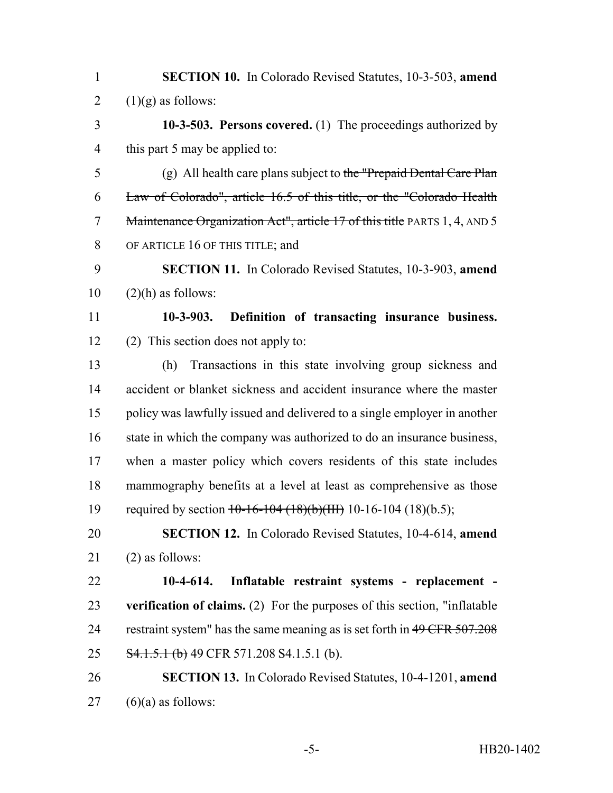| <b>SECTION 10.</b> In Colorado Revised Statutes, 10-3-503, amend |  |  |  |
|------------------------------------------------------------------|--|--|--|
| 2 $(1)(g)$ as follows:                                           |  |  |  |

 **10-3-503. Persons covered.** (1) The proceedings authorized by this part 5 may be applied to:

 (g) All health care plans subject to the "Prepaid Dental Care Plan Law of Colorado", article 16.5 of this title, or the "Colorado Health 7 Maintenance Organization Act", article 17 of this title PARTS 1, 4, AND 5 OF ARTICLE 16 OF THIS TITLE; and

 **SECTION 11.** In Colorado Revised Statutes, 10-3-903, **amend**  $10 \quad (2)$ (h) as follows:

 **10-3-903. Definition of transacting insurance business.** (2) This section does not apply to:

 (h) Transactions in this state involving group sickness and accident or blanket sickness and accident insurance where the master policy was lawfully issued and delivered to a single employer in another 16 state in which the company was authorized to do an insurance business, when a master policy which covers residents of this state includes mammography benefits at a level at least as comprehensive as those 19 required by section  $10-16-104$  (18)(b)(III) 10-16-104 (18)(b.5);

 **SECTION 12.** In Colorado Revised Statutes, 10-4-614, **amend** (2) as follows:

 **10-4-614. Inflatable restraint systems - replacement - verification of claims.** (2) For the purposes of this section, "inflatable 24 restraint system" has the same meaning as is set forth in 49 CFR 507.208 **S4.1.5.1 (b)** 49 CFR 571.208 S4.1.5.1 (b).

 **SECTION 13.** In Colorado Revised Statutes, 10-4-1201, **amend** (6)(a) as follows: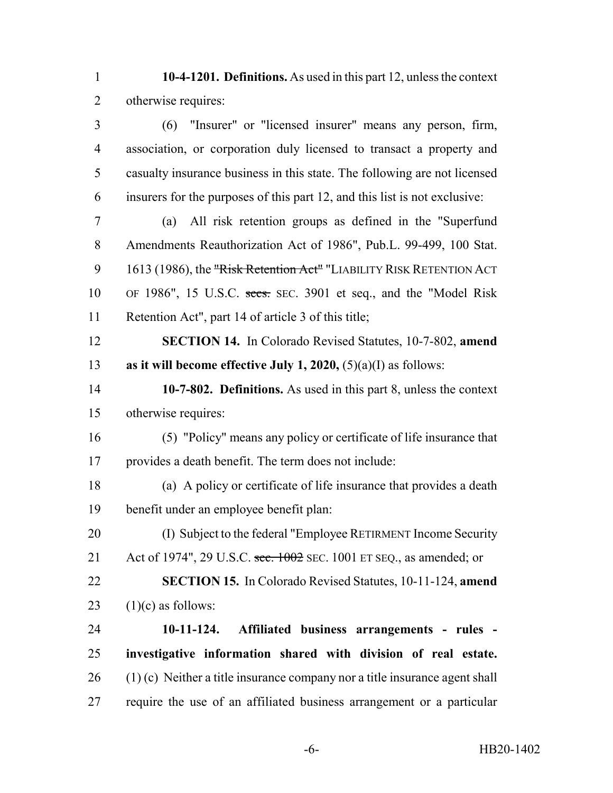**10-4-1201. Definitions.** As used in this part 12, unless the context otherwise requires:

 (6) "Insurer" or "licensed insurer" means any person, firm, association, or corporation duly licensed to transact a property and casualty insurance business in this state. The following are not licensed insurers for the purposes of this part 12, and this list is not exclusive:

 (a) All risk retention groups as defined in the "Superfund Amendments Reauthorization Act of 1986", Pub.L. 99-499, 100 Stat. 9 1613 (1986), the "Risk Retention Act" "LIABILITY RISK RETENTION ACT OF 1986", 15 U.S.C. secs. SEC. 3901 et seq., and the "Model Risk Retention Act", part 14 of article 3 of this title;

 **SECTION 14.** In Colorado Revised Statutes, 10-7-802, **amend as it will become effective July 1, 2020,** (5)(a)(I) as follows:

 **10-7-802. Definitions.** As used in this part 8, unless the context otherwise requires:

 (5) "Policy" means any policy or certificate of life insurance that provides a death benefit. The term does not include:

 (a) A policy or certificate of life insurance that provides a death benefit under an employee benefit plan:

 (I) Subject to the federal "Employee RETIRMENT Income Security 21 Act of 1974", 29 U.S.C. sec. 1002 SEC. 1001 ET SEQ., as amended; or

 **SECTION 15.** In Colorado Revised Statutes, 10-11-124, **amend** 23  $(1)(c)$  as follows:

 **10-11-124. Affiliated business arrangements - rules - investigative information shared with division of real estate.** (1) (c) Neither a title insurance company nor a title insurance agent shall require the use of an affiliated business arrangement or a particular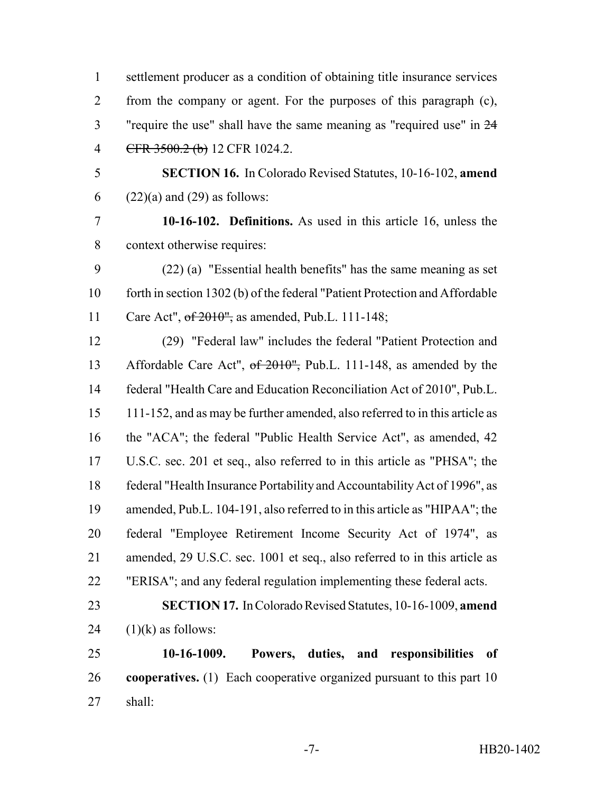settlement producer as a condition of obtaining title insurance services from the company or agent. For the purposes of this paragraph (c), "require the use" shall have the same meaning as "required use" in 24 4 CFR 3500.2 (b) 12 CFR 1024.2.

 **SECTION 16.** In Colorado Revised Statutes, 10-16-102, **amend** 6  $(22)(a)$  and  $(29)$  as follows:

 **10-16-102. Definitions.** As used in this article 16, unless the context otherwise requires:

 (22) (a) "Essential health benefits" has the same meaning as set forth in section 1302 (b) of the federal "Patient Protection and Affordable 11 Care Act", of 2010", as amended, Pub.L. 111-148;

 (29) "Federal law" includes the federal "Patient Protection and 13 Affordable Care Act", of 2010", Pub.L. 111-148, as amended by the federal "Health Care and Education Reconciliation Act of 2010", Pub.L. 111-152, and as may be further amended, also referred to in this article as the "ACA"; the federal "Public Health Service Act", as amended, 42 U.S.C. sec. 201 et seq., also referred to in this article as "PHSA"; the federal "Health Insurance Portability and Accountability Act of 1996", as amended, Pub.L. 104-191, also referred to in this article as "HIPAA"; the federal "Employee Retirement Income Security Act of 1974", as amended, 29 U.S.C. sec. 1001 et seq., also referred to in this article as "ERISA"; and any federal regulation implementing these federal acts.

 **SECTION 17.** In Colorado Revised Statutes, 10-16-1009, **amend** 24  $(1)(k)$  as follows:

 **10-16-1009. Powers, duties, and responsibilities of cooperatives.** (1) Each cooperative organized pursuant to this part 10 shall: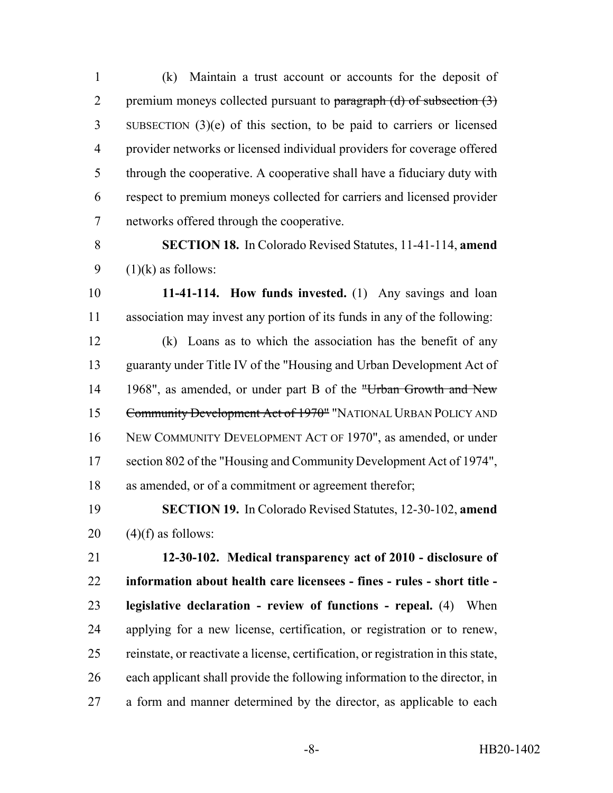(k) Maintain a trust account or accounts for the deposit of 2 premium moneys collected pursuant to  $\frac{\partial^2 u}{\partial x^2}$  paragraph (d) of subsection (3) SUBSECTION (3)(e) of this section, to be paid to carriers or licensed provider networks or licensed individual providers for coverage offered through the cooperative. A cooperative shall have a fiduciary duty with respect to premium moneys collected for carriers and licensed provider networks offered through the cooperative.

 **SECTION 18.** In Colorado Revised Statutes, 11-41-114, **amend** 9  $(1)(k)$  as follows:

 **11-41-114. How funds invested.** (1) Any savings and loan association may invest any portion of its funds in any of the following:

 (k) Loans as to which the association has the benefit of any guaranty under Title IV of the "Housing and Urban Development Act of 14 1968", as amended, or under part B of the "Urban Growth and New Community Development Act of 1970" "NATIONAL URBAN POLICY AND NEW COMMUNITY DEVELOPMENT ACT OF 1970", as amended, or under section 802 of the "Housing and Community Development Act of 1974", as amended, or of a commitment or agreement therefor;

 **SECTION 19.** In Colorado Revised Statutes, 12-30-102, **amend** 20  $(4)(f)$  as follows:

 **12-30-102. Medical transparency act of 2010 - disclosure of information about health care licensees - fines - rules - short title - legislative declaration - review of functions - repeal.** (4) When applying for a new license, certification, or registration or to renew, reinstate, or reactivate a license, certification, or registration in this state, each applicant shall provide the following information to the director, in a form and manner determined by the director, as applicable to each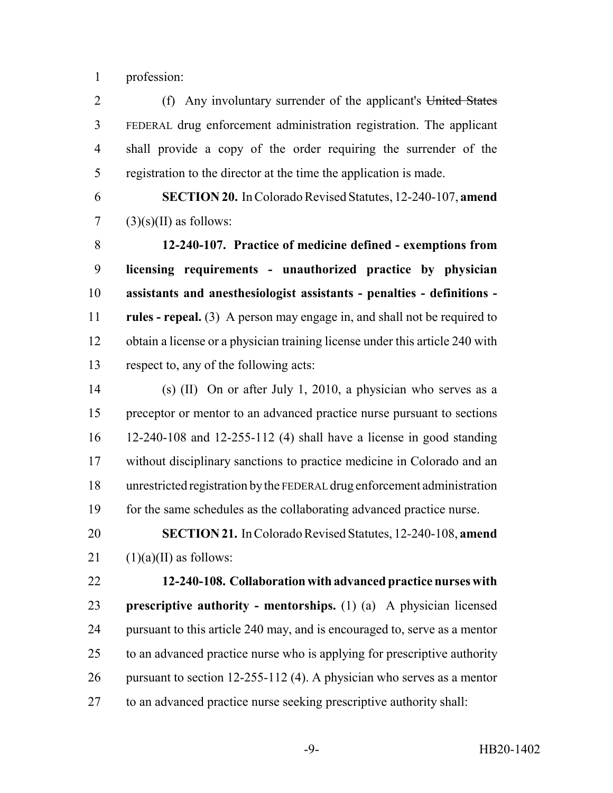profession:

2 (f) Any involuntary surrender of the applicant's United States FEDERAL drug enforcement administration registration. The applicant shall provide a copy of the order requiring the surrender of the registration to the director at the time the application is made.

 **SECTION 20.** In Colorado Revised Statutes, 12-240-107, **amend** 7  $(3)(s)(II)$  as follows:

 **12-240-107. Practice of medicine defined - exemptions from licensing requirements - unauthorized practice by physician assistants and anesthesiologist assistants - penalties - definitions - rules - repeal.** (3) A person may engage in, and shall not be required to obtain a license or a physician training license under this article 240 with respect to, any of the following acts:

 (s) (II) On or after July 1, 2010, a physician who serves as a preceptor or mentor to an advanced practice nurse pursuant to sections 12-240-108 and 12-255-112 (4) shall have a license in good standing without disciplinary sanctions to practice medicine in Colorado and an unrestricted registration by the FEDERAL drug enforcement administration for the same schedules as the collaborating advanced practice nurse.

 **SECTION 21.** In Colorado Revised Statutes, 12-240-108, **amend** 21  $(1)(a)(II)$  as follows:

 **12-240-108. Collaboration with advanced practice nurses with prescriptive authority - mentorships.** (1) (a) A physician licensed pursuant to this article 240 may, and is encouraged to, serve as a mentor to an advanced practice nurse who is applying for prescriptive authority pursuant to section 12-255-112 (4). A physician who serves as a mentor to an advanced practice nurse seeking prescriptive authority shall: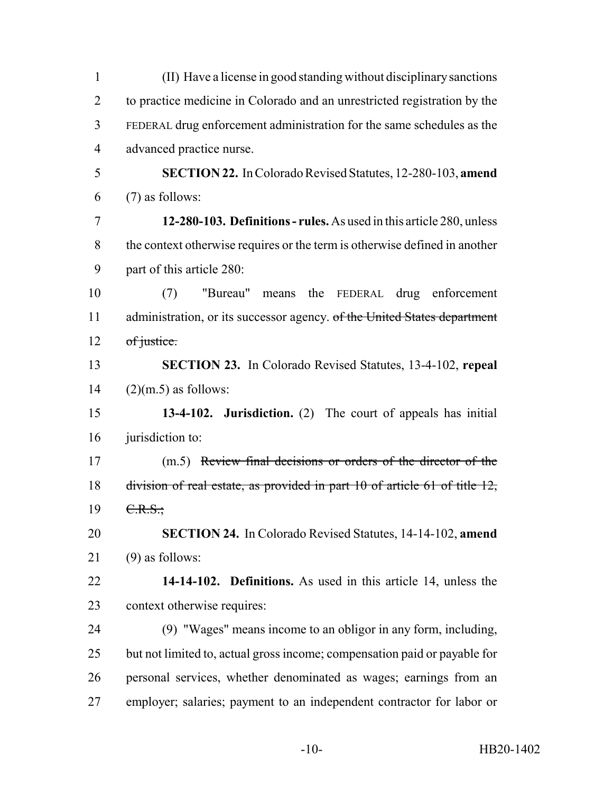| $\mathbf{1}$   | (II) Have a license in good standing without disciplinary sanctions        |  |  |  |
|----------------|----------------------------------------------------------------------------|--|--|--|
| $\overline{2}$ | to practice medicine in Colorado and an unrestricted registration by the   |  |  |  |
| 3              | FEDERAL drug enforcement administration for the same schedules as the      |  |  |  |
| $\overline{4}$ | advanced practice nurse.                                                   |  |  |  |
| 5              | <b>SECTION 22.</b> In Colorado Revised Statutes, 12-280-103, amend         |  |  |  |
| 6              | $(7)$ as follows:                                                          |  |  |  |
| $\tau$         | 12-280-103. Definitions - rules. As used in this article 280, unless       |  |  |  |
| 8              | the context otherwise requires or the term is otherwise defined in another |  |  |  |
| 9              | part of this article 280:                                                  |  |  |  |
| 10             | "Bureau" means<br>the<br>FEDERAL drug enforcement<br>(7)                   |  |  |  |
| 11             | administration, or its successor agency. of the United States department   |  |  |  |
| 12             | of justice.                                                                |  |  |  |
| 13             | <b>SECTION 23.</b> In Colorado Revised Statutes, 13-4-102, repeal          |  |  |  |
| 14             | $(2)(m.5)$ as follows:                                                     |  |  |  |
| 15             | 13-4-102. Jurisdiction. (2) The court of appeals has initial               |  |  |  |
| 16             | jurisdiction to:                                                           |  |  |  |
| 17             | (m.5) Review final decisions or orders of the director of the              |  |  |  |
| 18             | division of real estate, as provided in part 10 of article 61 of title 12, |  |  |  |
| 19             | C.R.S.                                                                     |  |  |  |
| 20             | <b>SECTION 24.</b> In Colorado Revised Statutes, 14-14-102, amend          |  |  |  |
| 21             | $(9)$ as follows:                                                          |  |  |  |
| 22             | 14-14-102. Definitions. As used in this article 14, unless the             |  |  |  |
| 23             | context otherwise requires:                                                |  |  |  |
| 24             | (9) "Wages" means income to an obligor in any form, including,             |  |  |  |
| 25             | but not limited to, actual gross income; compensation paid or payable for  |  |  |  |
| 26             | personal services, whether denominated as wages; earnings from an          |  |  |  |
| 27             | employer; salaries; payment to an independent contractor for labor or      |  |  |  |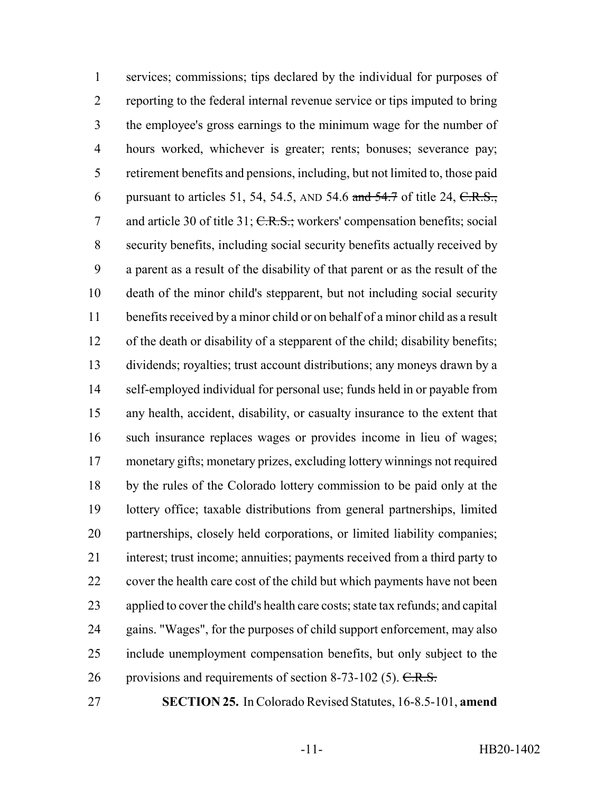services; commissions; tips declared by the individual for purposes of reporting to the federal internal revenue service or tips imputed to bring the employee's gross earnings to the minimum wage for the number of hours worked, whichever is greater; rents; bonuses; severance pay; retirement benefits and pensions, including, but not limited to, those paid 6 pursuant to articles 51, 54, 54.5, AND 54.6 and  $\frac{54.7}{ }$  of title 24, C.R.S., 7 and article 30 of title 31; C.R.S.; workers' compensation benefits; social security benefits, including social security benefits actually received by a parent as a result of the disability of that parent or as the result of the death of the minor child's stepparent, but not including social security benefits received by a minor child or on behalf of a minor child as a result of the death or disability of a stepparent of the child; disability benefits; dividends; royalties; trust account distributions; any moneys drawn by a self-employed individual for personal use; funds held in or payable from any health, accident, disability, or casualty insurance to the extent that such insurance replaces wages or provides income in lieu of wages; monetary gifts; monetary prizes, excluding lottery winnings not required by the rules of the Colorado lottery commission to be paid only at the lottery office; taxable distributions from general partnerships, limited partnerships, closely held corporations, or limited liability companies; interest; trust income; annuities; payments received from a third party to cover the health care cost of the child but which payments have not been applied to cover the child's health care costs; state tax refunds; and capital gains. "Wages", for the purposes of child support enforcement, may also include unemployment compensation benefits, but only subject to the 26 provisions and requirements of section 8-73-102 (5).  $C.R.S.$ 

**SECTION 25.** In Colorado Revised Statutes, 16-8.5-101, **amend**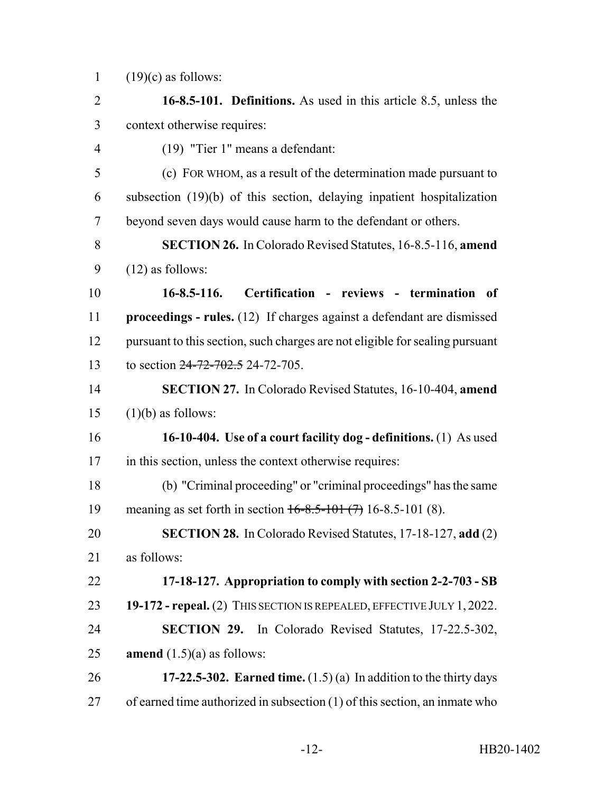1  $(19)(c)$  as follows:

 **16-8.5-101. Definitions.** As used in this article 8.5, unless the context otherwise requires: (19) "Tier 1" means a defendant: (c) FOR WHOM, as a result of the determination made pursuant to subsection (19)(b) of this section, delaying inpatient hospitalization beyond seven days would cause harm to the defendant or others. **SECTION 26.** In Colorado Revised Statutes, 16-8.5-116, **amend**  $9 \qquad (12)$  as follows: **16-8.5-116. Certification - reviews - termination of proceedings - rules.** (12) If charges against a defendant are dismissed pursuant to this section, such charges are not eligible for sealing pursuant 13 to section 24-72-702.5 24-72-705 **SECTION 27.** In Colorado Revised Statutes, 16-10-404, **amend** (1)(b) as follows: **16-10-404. Use of a court facility dog - definitions.** (1) As used in this section, unless the context otherwise requires: (b) "Criminal proceeding" or "criminal proceedings" has the same 19 meaning as set forth in section  $16-8.5-101(7)$  16-8.5-101 (8). **SECTION 28.** In Colorado Revised Statutes, 17-18-127, **add** (2) as follows: **17-18-127. Appropriation to comply with section 2-2-703 - SB 19-172 - repeal.** (2) THIS SECTION IS REPEALED, EFFECTIVE JULY 1, 2022. **SECTION 29.** In Colorado Revised Statutes, 17-22.5-302, **amend**  $(1.5)(a)$  as follows: **17-22.5-302. Earned time.** (1.5) (a) In addition to the thirty days of earned time authorized in subsection (1) of this section, an inmate who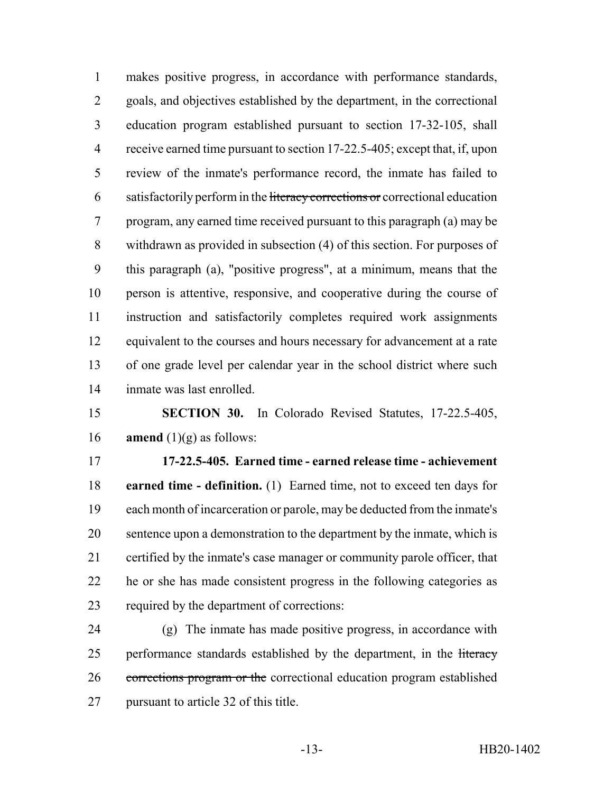makes positive progress, in accordance with performance standards, goals, and objectives established by the department, in the correctional education program established pursuant to section 17-32-105, shall receive earned time pursuant to section 17-22.5-405; except that, if, upon review of the inmate's performance record, the inmate has failed to 6 satisfactorily perform in the literacy corrections or correctional education program, any earned time received pursuant to this paragraph (a) may be withdrawn as provided in subsection (4) of this section. For purposes of this paragraph (a), "positive progress", at a minimum, means that the person is attentive, responsive, and cooperative during the course of instruction and satisfactorily completes required work assignments 12 equivalent to the courses and hours necessary for advancement at a rate of one grade level per calendar year in the school district where such inmate was last enrolled.

 **SECTION 30.** In Colorado Revised Statutes, 17-22.5-405, **amend** (1)(g) as follows:

 **17-22.5-405. Earned time - earned release time - achievement earned time - definition.** (1) Earned time, not to exceed ten days for each month of incarceration or parole, may be deducted from the inmate's sentence upon a demonstration to the department by the inmate, which is certified by the inmate's case manager or community parole officer, that he or she has made consistent progress in the following categories as required by the department of corrections:

 (g) The inmate has made positive progress, in accordance with 25 performance standards established by the department, in the literacy corrections program or the correctional education program established pursuant to article 32 of this title.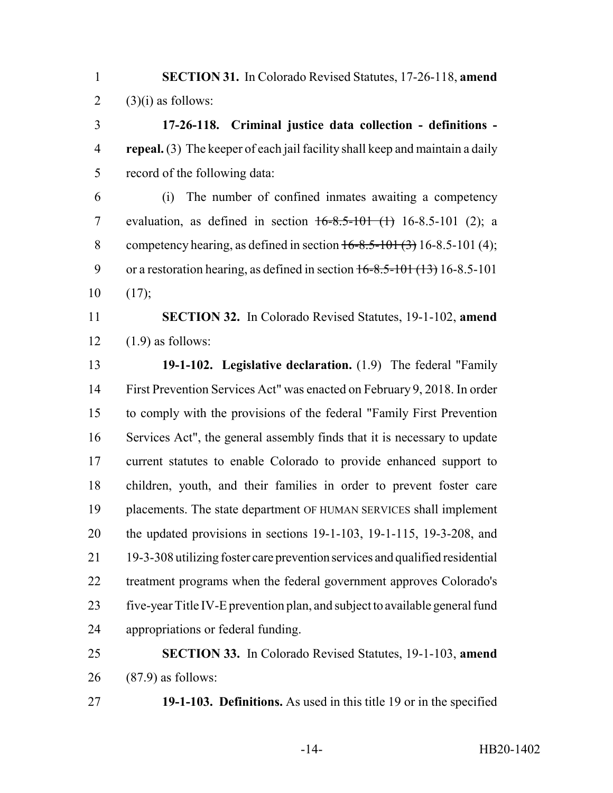**SECTION 31.** In Colorado Revised Statutes, 17-26-118, **amend** 2  $(3)(i)$  as follows:

 **17-26-118. Criminal justice data collection - definitions - repeal.** (3) The keeper of each jail facility shall keep and maintain a daily record of the following data:

 (i) The number of confined inmates awaiting a competency 7 evaluation, as defined in section  $16-8.5-101$  (1)  $16-8.5-101$  (2); a 8 competency hearing, as defined in section  $16-8.5-101(3)$  16-8.5-101 (4); 9 or a restoration hearing, as defined in section  $16-8.5-101$  (13) 16-8.5-101  $10 \t(17)$ ;

 **SECTION 32.** In Colorado Revised Statutes, 19-1-102, **amend** (1.9) as follows:

 **19-1-102. Legislative declaration.** (1.9) The federal "Family First Prevention Services Act" was enacted on February 9, 2018. In order to comply with the provisions of the federal "Family First Prevention Services Act", the general assembly finds that it is necessary to update current statutes to enable Colorado to provide enhanced support to children, youth, and their families in order to prevent foster care placements. The state department OF HUMAN SERVICES shall implement the updated provisions in sections 19-1-103, 19-1-115, 19-3-208, and 19-3-308 utilizing foster care prevention services and qualified residential treatment programs when the federal government approves Colorado's five-year Title IV-E prevention plan, and subject to available general fund appropriations or federal funding.

 **SECTION 33.** In Colorado Revised Statutes, 19-1-103, **amend** (87.9) as follows:

**19-1-103. Definitions.** As used in this title 19 or in the specified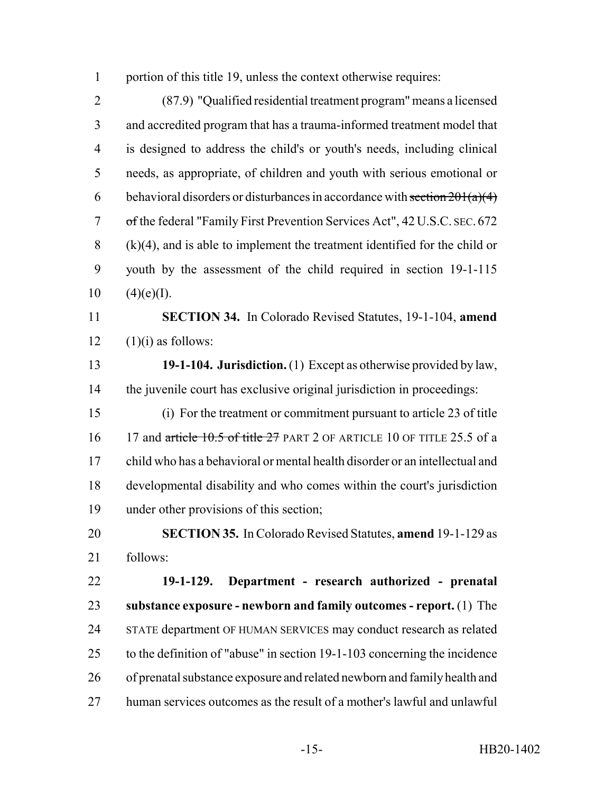1 portion of this title 19, unless the context otherwise requires:

 (87.9) "Qualified residential treatment program" means a licensed and accredited program that has a trauma-informed treatment model that is designed to address the child's or youth's needs, including clinical needs, as appropriate, of children and youth with serious emotional or 6 behavioral disorders or disturbances in accordance with section  $201(a)(4)$  of the federal "Family First Prevention Services Act", 42 U.S.C. SEC. 672 (k)(4), and is able to implement the treatment identified for the child or youth by the assessment of the child required in section 19-1-115  $10 \qquad (4)(e)(I).$ 

 **SECTION 34.** In Colorado Revised Statutes, 19-1-104, **amend**  $12 \quad (1)(i)$  as follows:

 **19-1-104. Jurisdiction.** (1) Except as otherwise provided by law, the juvenile court has exclusive original jurisdiction in proceedings:

 (i) For the treatment or commitment pursuant to article 23 of title 16 17 and article 10.5 of title 27 PART 2 OF ARTICLE 10 OF TITLE 25.5 of a child who has a behavioral or mental health disorder or an intellectual and developmental disability and who comes within the court's jurisdiction under other provisions of this section;

 **SECTION 35.** In Colorado Revised Statutes, **amend** 19-1-129 as follows:

 **19-1-129. Department - research authorized - prenatal substance exposure - newborn and family outcomes - report.** (1) The STATE department OF HUMAN SERVICES may conduct research as related to the definition of "abuse" in section 19-1-103 concerning the incidence of prenatal substance exposure and related newborn and family health and human services outcomes as the result of a mother's lawful and unlawful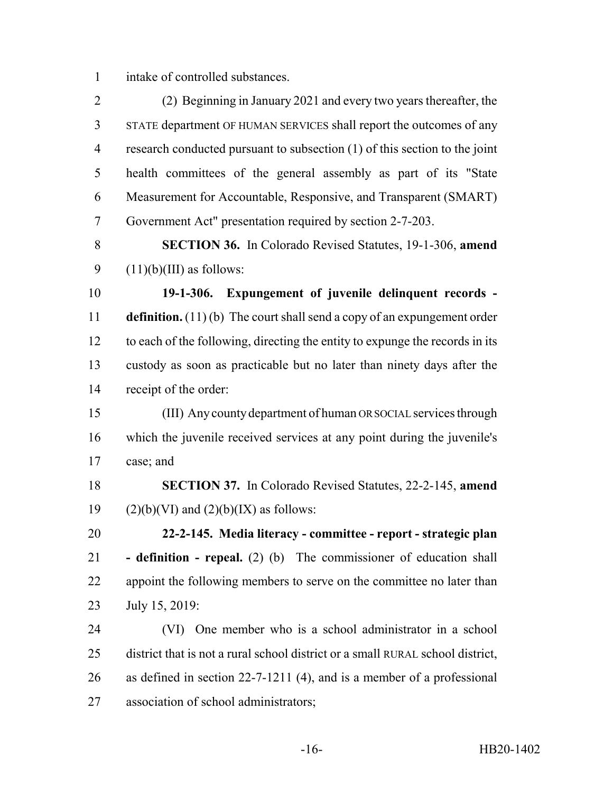intake of controlled substances.

 (2) Beginning in January 2021 and every two years thereafter, the STATE department OF HUMAN SERVICES shall report the outcomes of any research conducted pursuant to subsection (1) of this section to the joint health committees of the general assembly as part of its "State Measurement for Accountable, Responsive, and Transparent (SMART) Government Act" presentation required by section 2-7-203.

 **SECTION 36.** In Colorado Revised Statutes, 19-1-306, **amend** 9  $(11)(b)(III)$  as follows:

 **19-1-306. Expungement of juvenile delinquent records - definition.** (11) (b) The court shall send a copy of an expungement order to each of the following, directing the entity to expunge the records in its custody as soon as practicable but no later than ninety days after the receipt of the order:

 (III) Any county department of human OR SOCIAL services through which the juvenile received services at any point during the juvenile's case; and

 **SECTION 37.** In Colorado Revised Statutes, 22-2-145, **amend** 19 (2)(b)(VI) and  $(2)(b)(IX)$  as follows:

 **22-2-145. Media literacy - committee - report - strategic plan - definition - repeal.** (2) (b) The commissioner of education shall 22 appoint the following members to serve on the committee no later than July 15, 2019:

 (VI) One member who is a school administrator in a school district that is not a rural school district or a small RURAL school district, as defined in section 22-7-1211 (4), and is a member of a professional association of school administrators;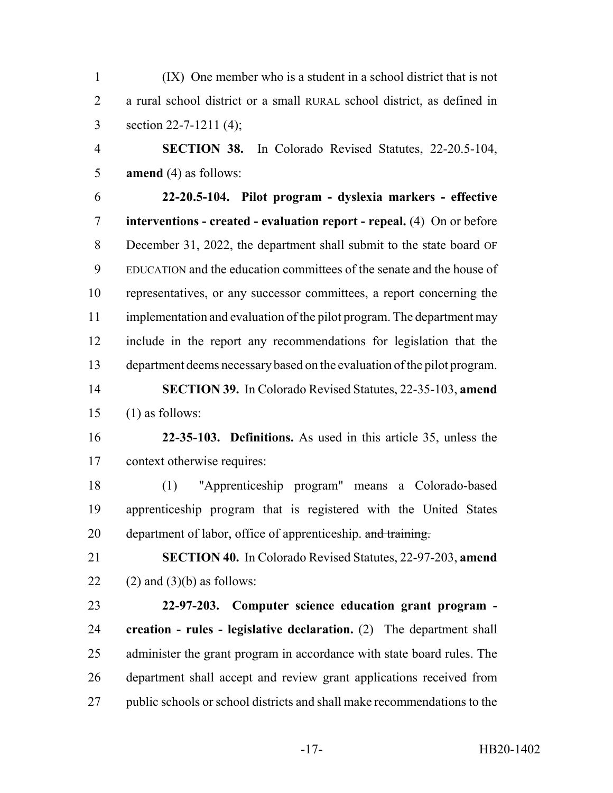(IX) One member who is a student in a school district that is not a rural school district or a small RURAL school district, as defined in section 22-7-1211 (4);

 **SECTION 38.** In Colorado Revised Statutes, 22-20.5-104, **amend** (4) as follows:

 **22-20.5-104. Pilot program - dyslexia markers - effective interventions - created - evaluation report - repeal.** (4) On or before December 31, 2022, the department shall submit to the state board OF EDUCATION and the education committees of the senate and the house of representatives, or any successor committees, a report concerning the 11 implementation and evaluation of the pilot program. The department may include in the report any recommendations for legislation that the department deems necessary based on the evaluation of the pilot program.

 **SECTION 39.** In Colorado Revised Statutes, 22-35-103, **amend** (1) as follows:

 **22-35-103. Definitions.** As used in this article 35, unless the context otherwise requires:

 (1) "Apprenticeship program" means a Colorado-based apprenticeship program that is registered with the United States 20 department of labor, office of apprenticeship. and training.

 **SECTION 40.** In Colorado Revised Statutes, 22-97-203, **amend** 22 (2) and (3)(b) as follows:

 **22-97-203. Computer science education grant program - creation - rules - legislative declaration.** (2) The department shall administer the grant program in accordance with state board rules. The department shall accept and review grant applications received from public schools or school districts and shall make recommendations to the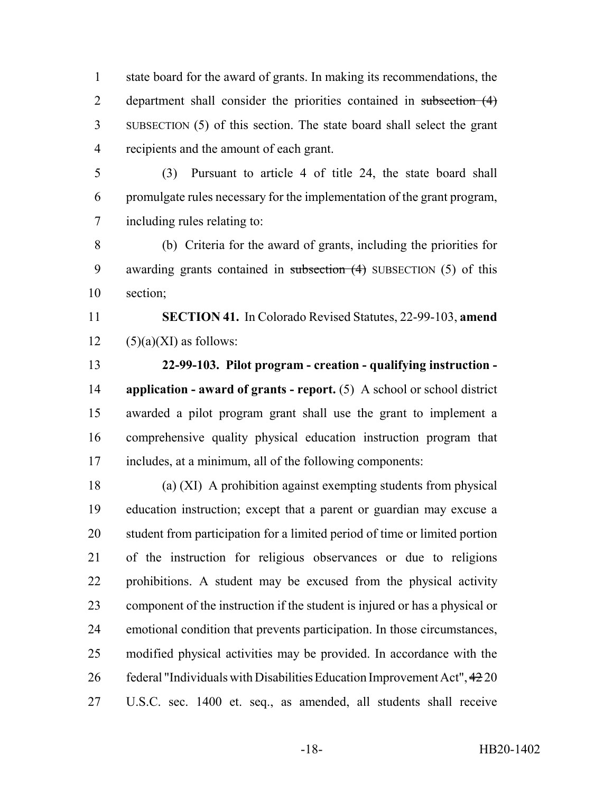state board for the award of grants. In making its recommendations, the 2 department shall consider the priorities contained in subsection (4) SUBSECTION (5) of this section. The state board shall select the grant recipients and the amount of each grant.

 (3) Pursuant to article 4 of title 24, the state board shall promulgate rules necessary for the implementation of the grant program, including rules relating to:

 (b) Criteria for the award of grants, including the priorities for 9 awarding grants contained in subsection (4) SUBSECTION (5) of this section;

 **SECTION 41.** In Colorado Revised Statutes, 22-99-103, **amend** 12  $(5)(a)(XI)$  as follows:

 **22-99-103. Pilot program - creation - qualifying instruction - application - award of grants - report.** (5) A school or school district awarded a pilot program grant shall use the grant to implement a comprehensive quality physical education instruction program that includes, at a minimum, all of the following components:

 (a) (XI) A prohibition against exempting students from physical education instruction; except that a parent or guardian may excuse a student from participation for a limited period of time or limited portion of the instruction for religious observances or due to religions prohibitions. A student may be excused from the physical activity component of the instruction if the student is injured or has a physical or emotional condition that prevents participation. In those circumstances, modified physical activities may be provided. In accordance with the federal "Individuals with Disabilities Education Improvement Act", 42 20 U.S.C. sec. 1400 et. seq., as amended, all students shall receive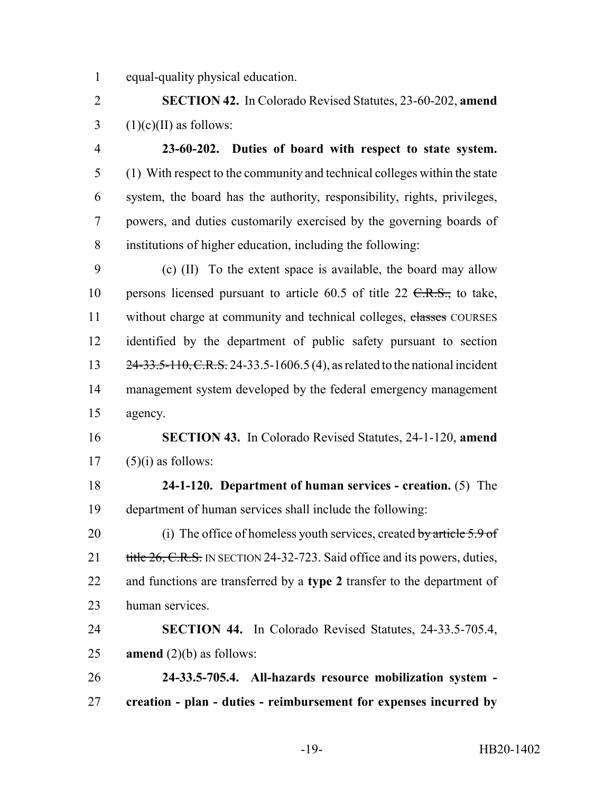equal-quality physical education.

 **SECTION 42.** In Colorado Revised Statutes, 23-60-202, **amend** 3 (1)(c)(II) as follows:

 **23-60-202. Duties of board with respect to state system.** (1) With respect to the community and technical colleges within the state system, the board has the authority, responsibility, rights, privileges, powers, and duties customarily exercised by the governing boards of institutions of higher education, including the following:

 (c) (II) To the extent space is available, the board may allow 10 persons licensed pursuant to article  $60.5$  of title  $22 \text{ } \text{ }C.R.S.,$  to take, 11 without charge at community and technical colleges, chasses COURSES identified by the department of public safety pursuant to section 13 24-33.5-110, C.R.S. 24-33.5-1606.5 (4), as related to the national incident management system developed by the federal emergency management agency.

 **SECTION 43.** In Colorado Revised Statutes, 24-1-120, **amend** (5)(i) as follows:

 **24-1-120. Department of human services - creation.** (5) The department of human services shall include the following:

20 (i) The office of homeless youth services, created by article 5.9 of 21 title 26, C.R.S. IN SECTION 24-32-723. Said office and its powers, duties, and functions are transferred by a **type 2** transfer to the department of human services.

 **SECTION 44.** In Colorado Revised Statutes, 24-33.5-705.4, **amend** (2)(b) as follows:

 **24-33.5-705.4. All-hazards resource mobilization system - creation - plan - duties - reimbursement for expenses incurred by**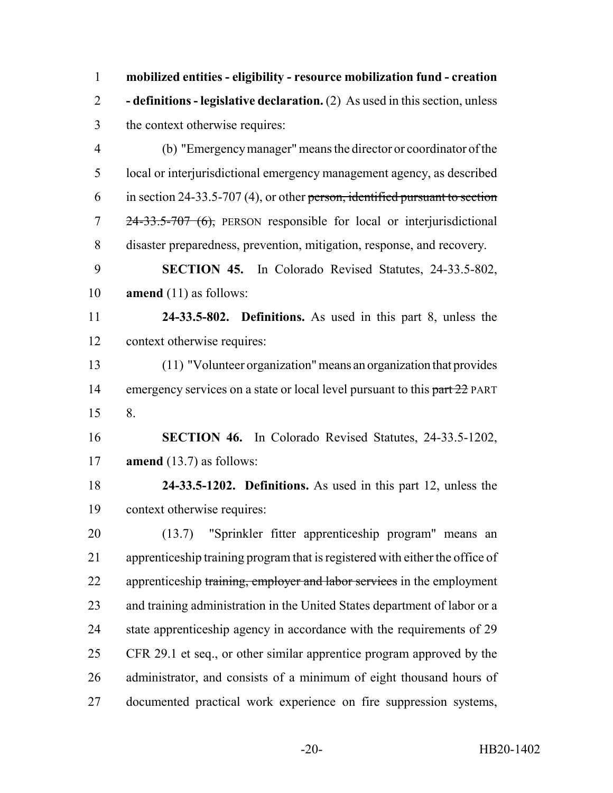**mobilized entities - eligibility - resource mobilization fund - creation - definitions - legislative declaration.** (2) As used in this section, unless the context otherwise requires:

 (b) "Emergency manager" means the director or coordinator of the local or interjurisdictional emergency management agency, as described in section 24-33.5-707 (4), or other person, identified pursuant to section 24-33.5-707 (6), PERSON responsible for local or interjurisdictional disaster preparedness, prevention, mitigation, response, and recovery.

 **SECTION 45.** In Colorado Revised Statutes, 24-33.5-802, **amend** (11) as follows:

 **24-33.5-802. Definitions.** As used in this part 8, unless the context otherwise requires:

 (11) "Volunteer organization" means an organization that provides 14 emergency services on a state or local level pursuant to this part 22 PART 8.

 **SECTION 46.** In Colorado Revised Statutes, 24-33.5-1202, **amend** (13.7) as follows:

 **24-33.5-1202. Definitions.** As used in this part 12, unless the context otherwise requires:

 (13.7) "Sprinkler fitter apprenticeship program" means an apprenticeship training program that is registered with either the office of 22 apprenticeship training, employer and labor services in the employment and training administration in the United States department of labor or a 24 state apprenticeship agency in accordance with the requirements of 29 CFR 29.1 et seq., or other similar apprentice program approved by the administrator, and consists of a minimum of eight thousand hours of documented practical work experience on fire suppression systems,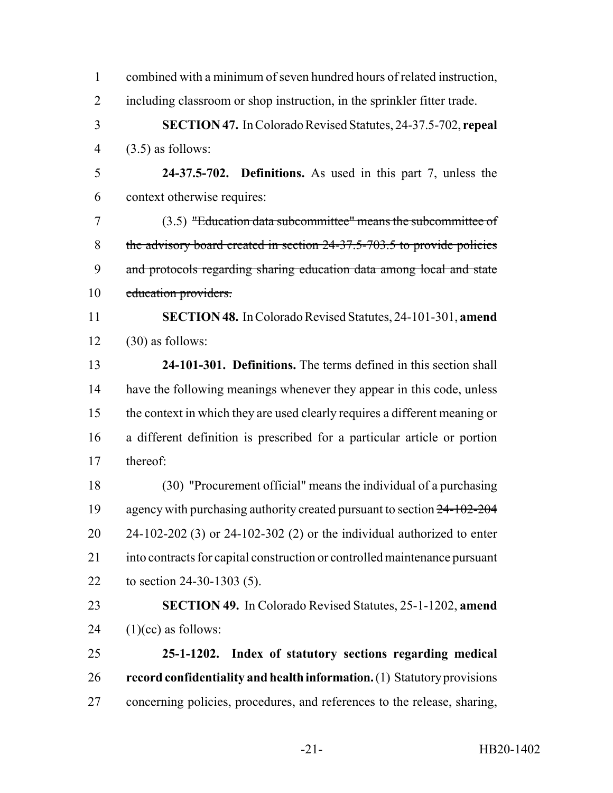| $\mathbf{1}$   | combined with a minimum of seven hundred hours of related instruction,     |
|----------------|----------------------------------------------------------------------------|
| $\overline{2}$ | including classroom or shop instruction, in the sprinkler fitter trade.    |
| 3              | <b>SECTION 47.</b> In Colorado Revised Statutes, 24-37.5-702, repeal       |
| $\overline{4}$ | $(3.5)$ as follows:                                                        |
| 5              | 24-37.5-702. Definitions. As used in this part 7, unless the               |
| 6              | context otherwise requires:                                                |
| 7              | (3.5) "Education data subcommittee" means the subcommittee of              |
| 8              | the advisory board created in section 24-37.5-703.5 to provide policies    |
| 9              | and protocols regarding sharing education data among local and state       |
| 10             | education providers.                                                       |
| 11             | <b>SECTION 48.</b> In Colorado Revised Statutes, 24-101-301, amend         |
| 12             | $(30)$ as follows:                                                         |
| 13             | 24-101-301. Definitions. The terms defined in this section shall           |
| 14             | have the following meanings whenever they appear in this code, unless      |
| 15             | the context in which they are used clearly requires a different meaning or |
| 16             | a different definition is prescribed for a particular article or portion   |
| 17             | thereof:                                                                   |
| 18             | (30) "Procurement official" means the individual of a purchasing           |
| 19             | agency with purchasing authority created pursuant to section 24-102-204    |
| 20             | $24-102-202$ (3) or $24-102-302$ (2) or the individual authorized to enter |
| 21             | into contracts for capital construction or controlled maintenance pursuant |
| 22             | to section $24-30-1303$ (5).                                               |
| 23             | SECTION 49. In Colorado Revised Statutes, 25-1-1202, amend                 |
| 24             | $(1)(cc)$ as follows:                                                      |
| 25             | 25-1-1202. Index of statutory sections regarding medical                   |
| 26             | record confidentiality and health information. (1) Statutory provisions    |
| 27             | concerning policies, procedures, and references to the release, sharing,   |
|                |                                                                            |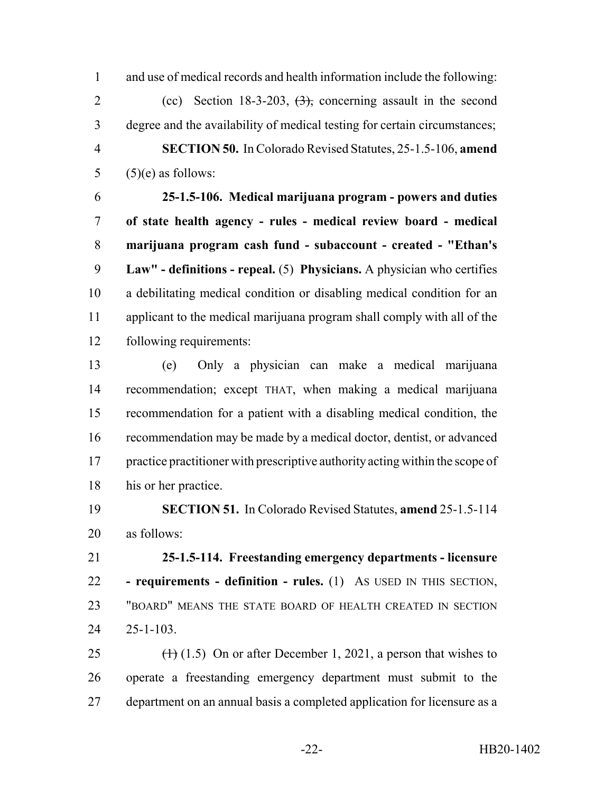and use of medical records and health information include the following: 2 (cc) Section 18-3-203,  $\left(3\right)$ , concerning assault in the second degree and the availability of medical testing for certain circumstances; **SECTION 50.** In Colorado Revised Statutes, 25-1.5-106, **amend**  $(5)(e)$  as follows:

 **25-1.5-106. Medical marijuana program - powers and duties of state health agency - rules - medical review board - medical marijuana program cash fund - subaccount - created - "Ethan's Law" - definitions - repeal.** (5) **Physicians.** A physician who certifies a debilitating medical condition or disabling medical condition for an applicant to the medical marijuana program shall comply with all of the following requirements:

 (e) Only a physician can make a medical marijuana recommendation; except THAT, when making a medical marijuana recommendation for a patient with a disabling medical condition, the recommendation may be made by a medical doctor, dentist, or advanced practice practitioner with prescriptive authority acting within the scope of his or her practice.

 **SECTION 51.** In Colorado Revised Statutes, **amend** 25-1.5-114 as follows:

 **25-1.5-114. Freestanding emergency departments - licensure - requirements - definition - rules.** (1) AS USED IN THIS SECTION, "BOARD" MEANS THE STATE BOARD OF HEALTH CREATED IN SECTION 25-1-103.

25  $(1)$  (1.5) On or after December 1, 2021, a person that wishes to operate a freestanding emergency department must submit to the department on an annual basis a completed application for licensure as a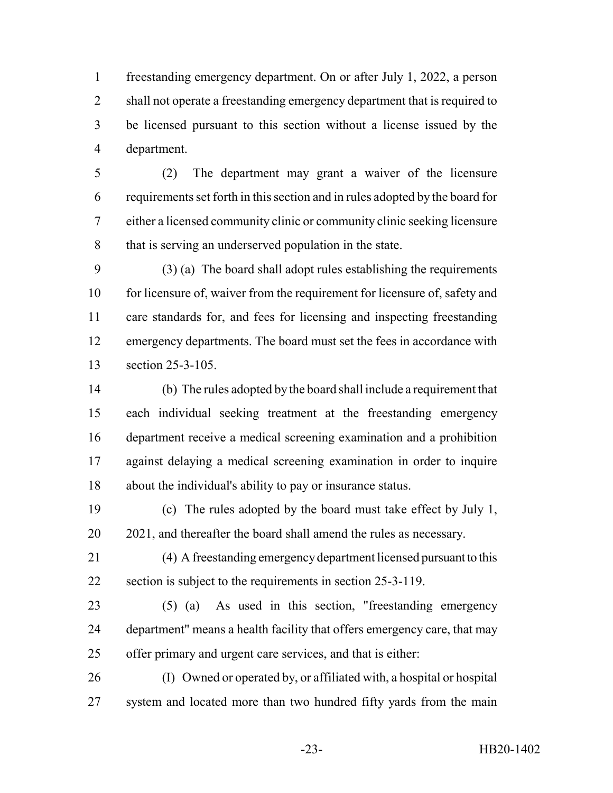freestanding emergency department. On or after July 1, 2022, a person shall not operate a freestanding emergency department that is required to be licensed pursuant to this section without a license issued by the department.

 (2) The department may grant a waiver of the licensure requirements set forth in this section and in rules adopted by the board for either a licensed community clinic or community clinic seeking licensure that is serving an underserved population in the state.

 (3) (a) The board shall adopt rules establishing the requirements 10 for licensure of, waiver from the requirement for licensure of, safety and care standards for, and fees for licensing and inspecting freestanding emergency departments. The board must set the fees in accordance with section 25-3-105.

 (b) The rules adopted by the board shall include a requirement that each individual seeking treatment at the freestanding emergency department receive a medical screening examination and a prohibition against delaying a medical screening examination in order to inquire about the individual's ability to pay or insurance status.

 (c) The rules adopted by the board must take effect by July 1, 2021, and thereafter the board shall amend the rules as necessary.

 (4) A freestanding emergency department licensed pursuant to this section is subject to the requirements in section 25-3-119.

 (5) (a) As used in this section, "freestanding emergency department" means a health facility that offers emergency care, that may offer primary and urgent care services, and that is either:

 (I) Owned or operated by, or affiliated with, a hospital or hospital 27 system and located more than two hundred fifty yards from the main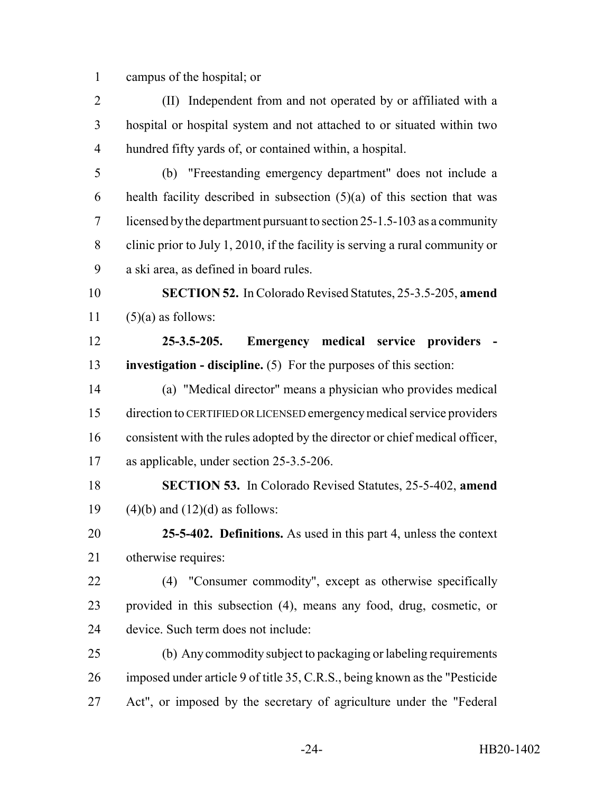campus of the hospital; or

 (II) Independent from and not operated by or affiliated with a hospital or hospital system and not attached to or situated within two hundred fifty yards of, or contained within, a hospital.

 (b) "Freestanding emergency department" does not include a 6 health facility described in subsection  $(5)(a)$  of this section that was licensed by the department pursuant to section 25-1.5-103 as a community clinic prior to July 1, 2010, if the facility is serving a rural community or a ski area, as defined in board rules.

 **SECTION 52.** In Colorado Revised Statutes, 25-3.5-205, **amend** 11  $(5)(a)$  as follows:

 **25-3.5-205. Emergency medical service providers - investigation - discipline.** (5) For the purposes of this section:

 (a) "Medical director" means a physician who provides medical direction to CERTIFIED OR LICENSED emergency medical service providers consistent with the rules adopted by the director or chief medical officer, as applicable, under section 25-3.5-206.

 **SECTION 53.** In Colorado Revised Statutes, 25-5-402, **amend** 19  $(4)(b)$  and  $(12)(d)$  as follows:

 **25-5-402. Definitions.** As used in this part 4, unless the context otherwise requires:

 (4) "Consumer commodity", except as otherwise specifically provided in this subsection (4), means any food, drug, cosmetic, or device. Such term does not include:

 (b) Any commodity subject to packaging or labeling requirements imposed under article 9 of title 35, C.R.S., being known as the "Pesticide Act", or imposed by the secretary of agriculture under the "Federal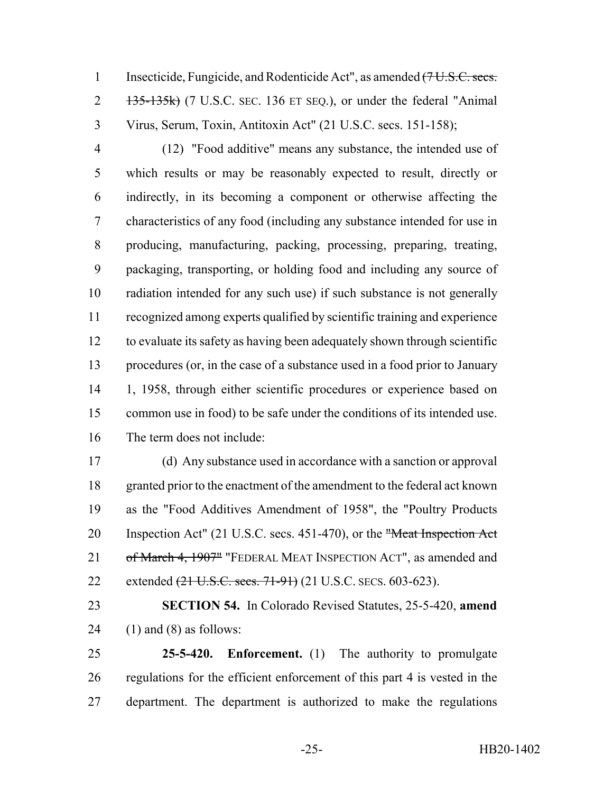1 Insecticide, Fungicide, and Rodenticide Act", as amended (7 U.S.C. secs. 2 135-135k) (7 U.S.C. SEC. 136 ET SEQ.), or under the federal "Animal" Virus, Serum, Toxin, Antitoxin Act" (21 U.S.C. secs. 151-158);

 (12) "Food additive" means any substance, the intended use of which results or may be reasonably expected to result, directly or indirectly, in its becoming a component or otherwise affecting the characteristics of any food (including any substance intended for use in producing, manufacturing, packing, processing, preparing, treating, packaging, transporting, or holding food and including any source of radiation intended for any such use) if such substance is not generally recognized among experts qualified by scientific training and experience to evaluate its safety as having been adequately shown through scientific procedures (or, in the case of a substance used in a food prior to January 1, 1958, through either scientific procedures or experience based on common use in food) to be safe under the conditions of its intended use. The term does not include:

 (d) Any substance used in accordance with a sanction or approval granted prior to the enactment of the amendment to the federal act known as the "Food Additives Amendment of 1958", the "Poultry Products 20 Inspection Act" (21 U.S.C. secs. 451-470), or the "Meat Inspection Act" 21 of March 4, 1907" "FEDERAL MEAT INSPECTION ACT", as amended and 22 extended (21 U.S.C. secs. 71-91) (21 U.S.C. SECS. 603-623).

 **SECTION 54.** In Colorado Revised Statutes, 25-5-420, **amend** 24 (1) and (8) as follows:

 **25-5-420. Enforcement.** (1) The authority to promulgate regulations for the efficient enforcement of this part 4 is vested in the department. The department is authorized to make the regulations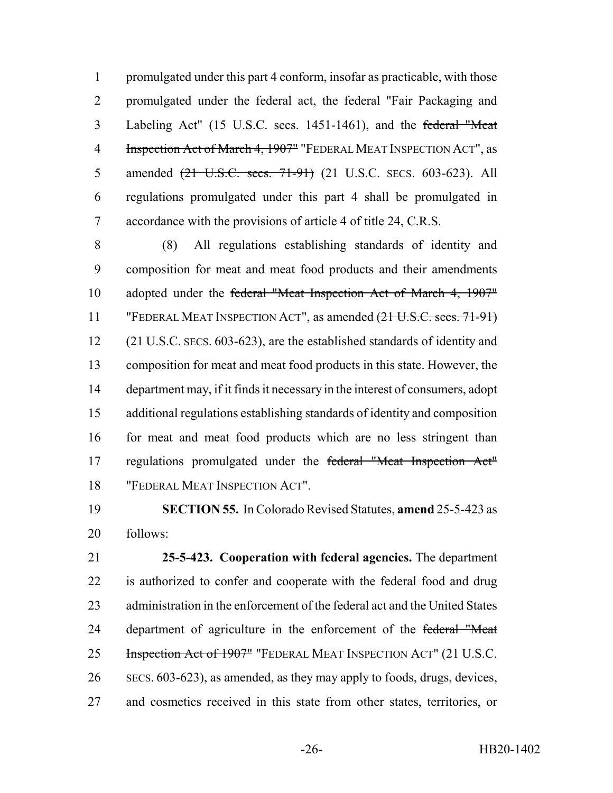promulgated under this part 4 conform, insofar as practicable, with those promulgated under the federal act, the federal "Fair Packaging and Labeling Act" (15 U.S.C. secs. 1451-1461), and the federal "Meat 4 Inspection Act of March 4, 1907" "FEDERAL MEAT INSPECTION ACT", as 5 amended  $(21 \text{ U.S.C. } \text{secs. } 71-91)$  (21 U.S.C. SECS. 603-623). All regulations promulgated under this part 4 shall be promulgated in accordance with the provisions of article 4 of title 24, C.R.S.

 (8) All regulations establishing standards of identity and composition for meat and meat food products and their amendments 10 adopted under the federal "Meat Inspection Act of March 4, 1907" "FEDERAL MEAT INSPECTION ACT", as amended (21 U.S.C. secs. 71-91) (21 U.S.C. SECS. 603-623), are the established standards of identity and composition for meat and meat food products in this state. However, the department may, if it finds it necessary in the interest of consumers, adopt additional regulations establishing standards of identity and composition for meat and meat food products which are no less stringent than regulations promulgated under the federal "Meat Inspection Act" "FEDERAL MEAT INSPECTION ACT".

 **SECTION 55.** In Colorado Revised Statutes, **amend** 25-5-423 as follows:

 **25-5-423. Cooperation with federal agencies.** The department is authorized to confer and cooperate with the federal food and drug administration in the enforcement of the federal act and the United States 24 department of agriculture in the enforcement of the federal "Meat 25 Inspection Act of 1907" "FEDERAL MEAT INSPECTION ACT" (21 U.S.C. SECS. 603-623), as amended, as they may apply to foods, drugs, devices, and cosmetics received in this state from other states, territories, or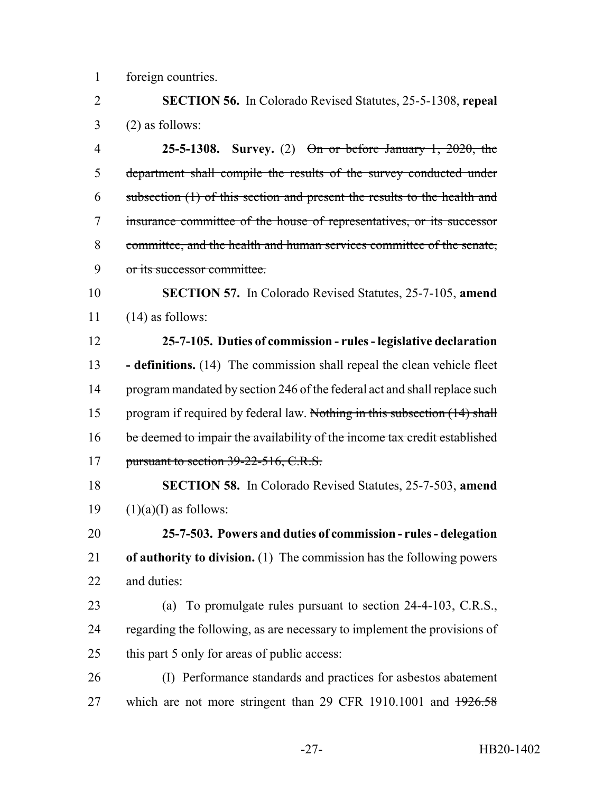foreign countries.

 **SECTION 56.** In Colorado Revised Statutes, 25-5-1308, **repeal**  $3 \qquad (2)$  as follows:

 **25-5-1308. Survey.** (2) On or before January 1, 2020, the department shall compile the results of the survey conducted under subsection (1) of this section and present the results to the health and insurance committee of the house of representatives, or its successor committee, and the health and human services committee of the senate, or its successor committee.

 **SECTION 57.** In Colorado Revised Statutes, 25-7-105, **amend** (14) as follows:

 **25-7-105. Duties of commission - rules - legislative declaration - definitions.** (14) The commission shall repeal the clean vehicle fleet program mandated by section 246 of the federal act and shall replace such 15 program if required by federal law. Nothing in this subsection (14) shall 16 be deemed to impair the availability of the income tax credit established 17 pursuant to section 39-22-516, C.R.S.

 **SECTION 58.** In Colorado Revised Statutes, 25-7-503, **amend** 19  $(1)(a)(I)$  as follows:

 **25-7-503. Powers and duties of commission - rules - delegation of authority to division.** (1) The commission has the following powers and duties:

 (a) To promulgate rules pursuant to section 24-4-103, C.R.S., 24 regarding the following, as are necessary to implement the provisions of this part 5 only for areas of public access:

 (I) Performance standards and practices for asbestos abatement 27 which are not more stringent than 29 CFR 1910.1001 and  $\frac{1926.58}{ }$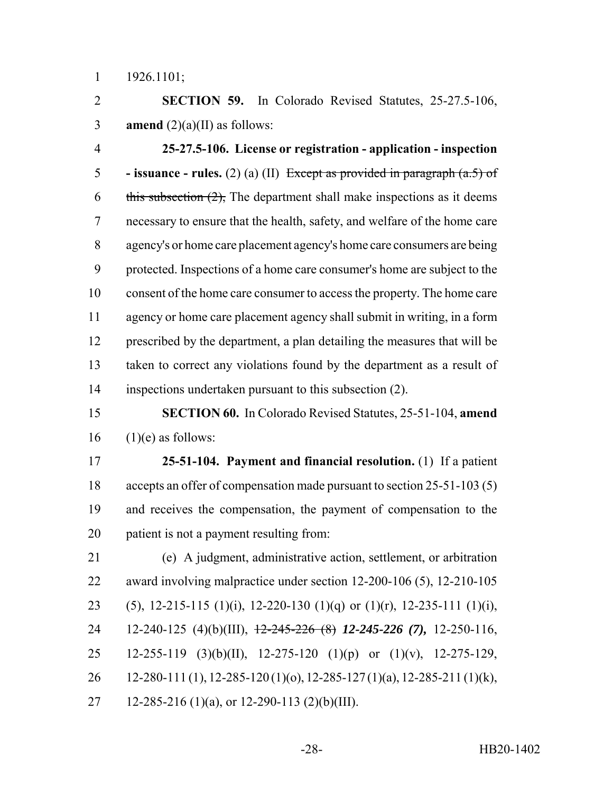1926.1101;

 **SECTION 59.** In Colorado Revised Statutes, 25-27.5-106, 3 **amend**  $(2)(a)(II)$  as follows:

 **25-27.5-106. License or registration - application - inspection - issuance - rules.** (2) (a) (II) Except as provided in paragraph (a.5) of 6 this subsection  $(2)$ , The department shall make inspections as it deems necessary to ensure that the health, safety, and welfare of the home care agency's or home care placement agency's home care consumers are being protected. Inspections of a home care consumer's home are subject to the consent of the home care consumer to access the property. The home care agency or home care placement agency shall submit in writing, in a form prescribed by the department, a plan detailing the measures that will be taken to correct any violations found by the department as a result of inspections undertaken pursuant to this subsection (2).

# **SECTION 60.** In Colorado Revised Statutes, 25-51-104, **amend** (1)(e) as follows:

 **25-51-104. Payment and financial resolution.** (1) If a patient accepts an offer of compensation made pursuant to section 25-51-103 (5) and receives the compensation, the payment of compensation to the patient is not a payment resulting from:

 (e) A judgment, administrative action, settlement, or arbitration award involving malpractice under section 12-200-106 (5), 12-210-105 23 (5), 12-215-115 (1)(i), 12-220-130 (1)(q) or (1)(r), 12-235-111 (1)(i), 12-240-125 (4)(b)(III), 12-245-226 (8) *12-245-226 (7),* 12-250-116, 12-255-119 (3)(b)(II), 12-275-120 (1)(p) or (1)(v), 12-275-129, 12-280-111 (1), 12-285-120 (1)(o), 12-285-127 (1)(a), 12-285-211 (1)(k), 27 12-285-216 (1)(a), or 12-290-113 (2)(b)(III).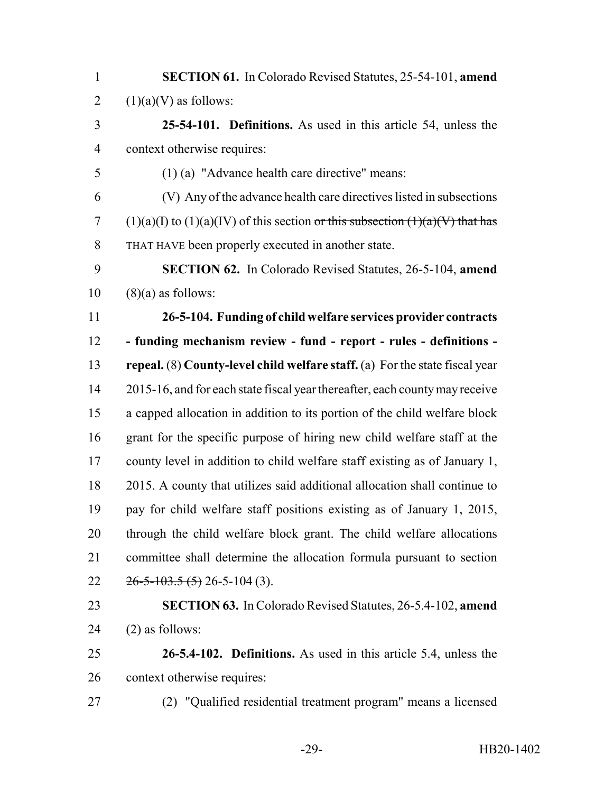| <b>SECTION 61.</b> In Colorado Revised Statutes, 25-54-101, amend                   |
|-------------------------------------------------------------------------------------|
| $(1)(a)(V)$ as follows:                                                             |
| 25-54-101. Definitions. As used in this article 54, unless the                      |
| context otherwise requires:                                                         |
| $(1)$ (a) "Advance health care directive" means:                                    |
| (V) Any of the advance health care directives listed in subsections                 |
| $(1)(a)(I)$ to $(1)(a)(IV)$ of this section or this subsection $(1)(a)(V)$ that has |
| THAT HAVE been properly executed in another state.                                  |
| SECTION 62. In Colorado Revised Statutes, 26-5-104, amend                           |
| $(8)(a)$ as follows:                                                                |
| 26-5-104. Funding of child welfare services provider contracts                      |
| - funding mechanism review - fund - report - rules - definitions -                  |
| repeal. $(8)$ County-level child welfare staff. $(a)$ For the state fiscal year     |
| 2015-16, and for each state fiscal year thereafter, each county may receive         |
| a capped allocation in addition to its portion of the child welfare block           |
| grant for the specific purpose of hiring new child welfare staff at the             |
| county level in addition to child welfare staff existing as of January 1,           |
| 2015. A county that utilizes said additional allocation shall continue to           |
| pay for child welfare staff positions existing as of January 1, 2015,               |
| through the child welfare block grant. The child welfare allocations                |
| committee shall determine the allocation formula pursuant to section                |
| $26 - 5 - 103.5(5)$ 26-5-104 (3).                                                   |
| <b>SECTION 63.</b> In Colorado Revised Statutes, 26-5.4-102, amend                  |
| $(2)$ as follows:                                                                   |
| 26-5.4-102. Definitions. As used in this article 5.4, unless the                    |
| context otherwise requires:                                                         |
| (2) "Qualified residential treatment program" means a licensed                      |
|                                                                                     |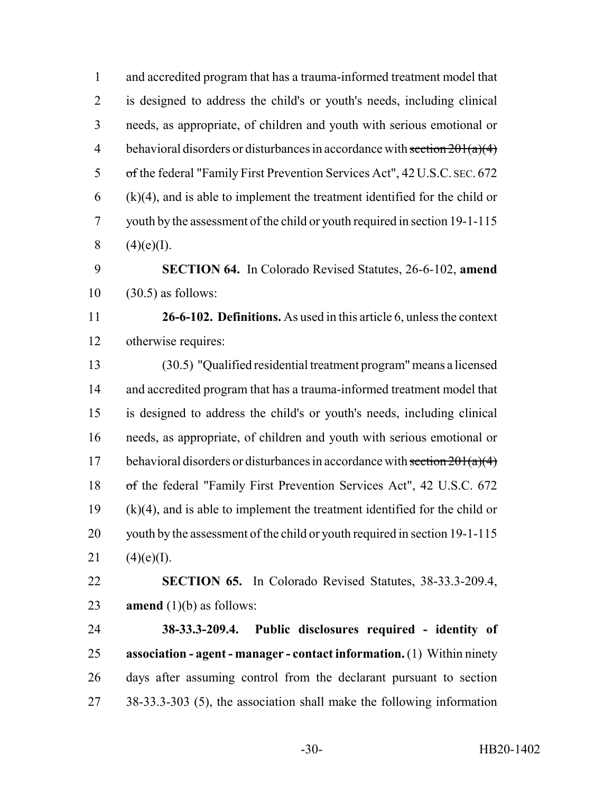and accredited program that has a trauma-informed treatment model that is designed to address the child's or youth's needs, including clinical needs, as appropriate, of children and youth with serious emotional or 4 behavioral disorders or disturbances in accordance with section  $201(a)(4)$  of the federal "Family First Prevention Services Act", 42 U.S.C. SEC. 672 (k)(4), and is able to implement the treatment identified for the child or youth by the assessment of the child or youth required in section 19-1-115  $(4)(e)(I)$ .

 **SECTION 64.** In Colorado Revised Statutes, 26-6-102, **amend** (30.5) as follows:

 **26-6-102. Definitions.** As used in this article 6, unless the context otherwise requires:

 (30.5) "Qualified residential treatment program" means a licensed and accredited program that has a trauma-informed treatment model that is designed to address the child's or youth's needs, including clinical needs, as appropriate, of children and youth with serious emotional or 17 behavioral disorders or disturbances in accordance with section  $201(a)(4)$  of the federal "Family First Prevention Services Act", 42 U.S.C. 672 (k)(4), and is able to implement the treatment identified for the child or youth by the assessment of the child or youth required in section 19-1-115  $(4)(e)(I)$ .

 **SECTION 65.** In Colorado Revised Statutes, 38-33.3-209.4, **amend** (1)(b) as follows:

 **38-33.3-209.4. Public disclosures required - identity of association - agent - manager - contact information.** (1) Within ninety days after assuming control from the declarant pursuant to section 38-33.3-303 (5), the association shall make the following information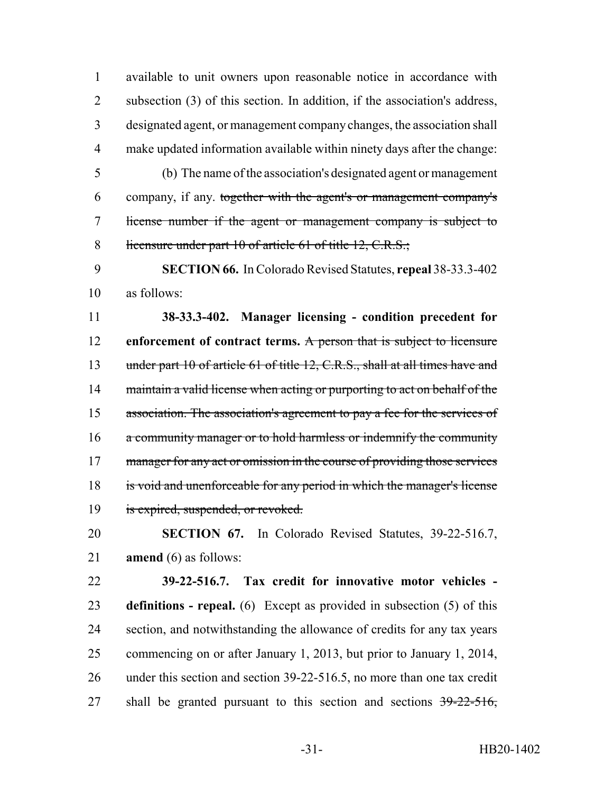available to unit owners upon reasonable notice in accordance with subsection (3) of this section. In addition, if the association's address, designated agent, or management company changes, the association shall make updated information available within ninety days after the change:

 (b) The name of the association's designated agent or management company, if any. together with the agent's or management company's license number if the agent or management company is subject to 8 licensure under part 10 of article 61 of title 12, C.R.S.;

 **SECTION 66.** In Colorado Revised Statutes, **repeal** 38-33.3-402 as follows:

 **38-33.3-402. Manager licensing - condition precedent for enforcement of contract terms.** A person that is subject to licensure 13 under part 10 of article 61 of title 12, C.R.S., shall at all times have and 14 maintain a valid license when acting or purporting to act on behalf of the 15 association. The association's agreement to pay a fee for the services of a community manager or to hold harmless or indemnify the community 17 manager for any act or omission in the course of providing those services is void and unenforceable for any period in which the manager's license 19 is expired, suspended, or revoked.

 **SECTION 67.** In Colorado Revised Statutes, 39-22-516.7, **amend** (6) as follows:

 **39-22-516.7. Tax credit for innovative motor vehicles - definitions - repeal.** (6) Except as provided in subsection (5) of this section, and notwithstanding the allowance of credits for any tax years commencing on or after January 1, 2013, but prior to January 1, 2014, under this section and section 39-22-516.5, no more than one tax credit 27 shall be granted pursuant to this section and sections  $39-22-516$ ,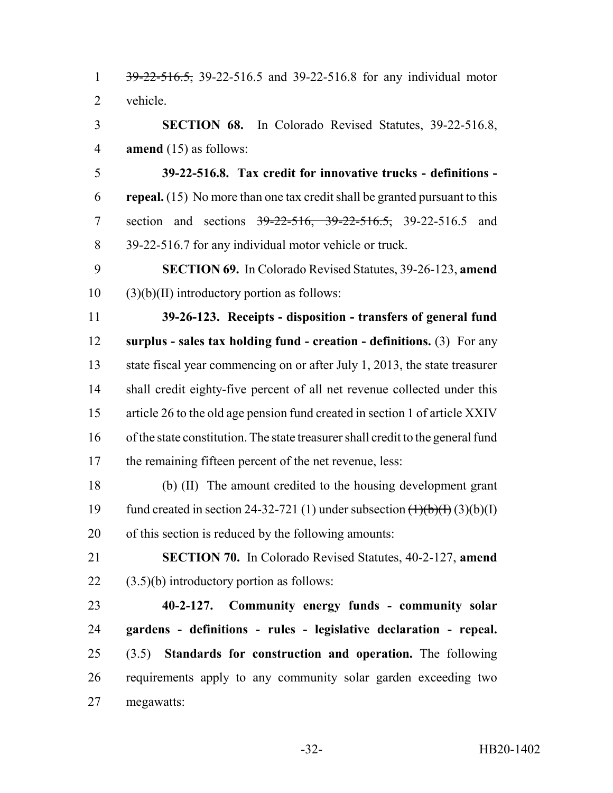1 39-22-516.5, 39-22-516.5 and 39-22-516.8 for any individual motor vehicle.

 **SECTION 68.** In Colorado Revised Statutes, 39-22-516.8, **amend** (15) as follows:

 **39-22-516.8. Tax credit for innovative trucks - definitions - repeal.** (15) No more than one tax credit shall be granted pursuant to this 7 section and sections 39-22-516, 39-22-516.5, 39-22-516.5 and 39-22-516.7 for any individual motor vehicle or truck.

 **SECTION 69.** In Colorado Revised Statutes, 39-26-123, **amend**  $10 \qquad (3)(b)(II)$  introductory portion as follows:

 **39-26-123. Receipts - disposition - transfers of general fund surplus - sales tax holding fund - creation - definitions.** (3) For any state fiscal year commencing on or after July 1, 2013, the state treasurer shall credit eighty-five percent of all net revenue collected under this article 26 to the old age pension fund created in section 1 of article XXIV of the state constitution. The state treasurer shall credit to the general fund the remaining fifteen percent of the net revenue, less:

 (b) (II) The amount credited to the housing development grant 19 fund created in section 24-32-721 (1) under subsection  $\left(\frac{1}{b}\right)\left(\frac{1}{b}\right)$  (3)(b)(I) of this section is reduced by the following amounts:

 **SECTION 70.** In Colorado Revised Statutes, 40-2-127, **amend**  $22 \qquad (3.5)(b)$  introductory portion as follows:

 **40-2-127. Community energy funds - community solar gardens - definitions - rules - legislative declaration - repeal.** (3.5) **Standards for construction and operation.** The following requirements apply to any community solar garden exceeding two megawatts: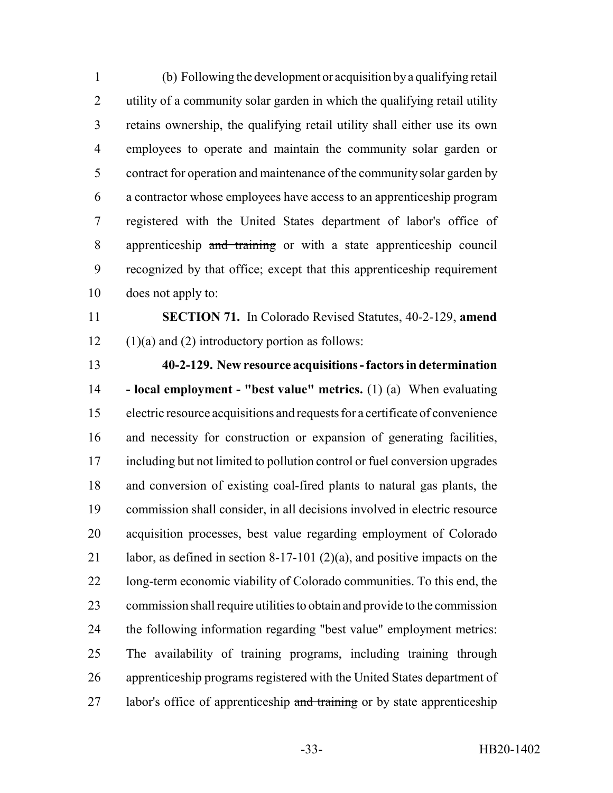(b) Following the development or acquisition by a qualifying retail utility of a community solar garden in which the qualifying retail utility retains ownership, the qualifying retail utility shall either use its own employees to operate and maintain the community solar garden or contract for operation and maintenance of the community solar garden by a contractor whose employees have access to an apprenticeship program registered with the United States department of labor's office of apprenticeship and training or with a state apprenticeship council recognized by that office; except that this apprenticeship requirement does not apply to:

 **SECTION 71.** In Colorado Revised Statutes, 40-2-129, **amend** 12  $(1)(a)$  and (2) introductory portion as follows:

 **40-2-129. New resource acquisitions - factors in determination - local employment - "best value" metrics.** (1) (a) When evaluating electric resource acquisitions and requests for a certificate of convenience and necessity for construction or expansion of generating facilities, including but not limited to pollution control or fuel conversion upgrades and conversion of existing coal-fired plants to natural gas plants, the commission shall consider, in all decisions involved in electric resource acquisition processes, best value regarding employment of Colorado labor, as defined in section 8-17-101 (2)(a), and positive impacts on the long-term economic viability of Colorado communities. To this end, the commission shall require utilities to obtain and provide to the commission the following information regarding "best value" employment metrics: The availability of training programs, including training through apprenticeship programs registered with the United States department of 27 labor's office of apprenticeship and training or by state apprenticeship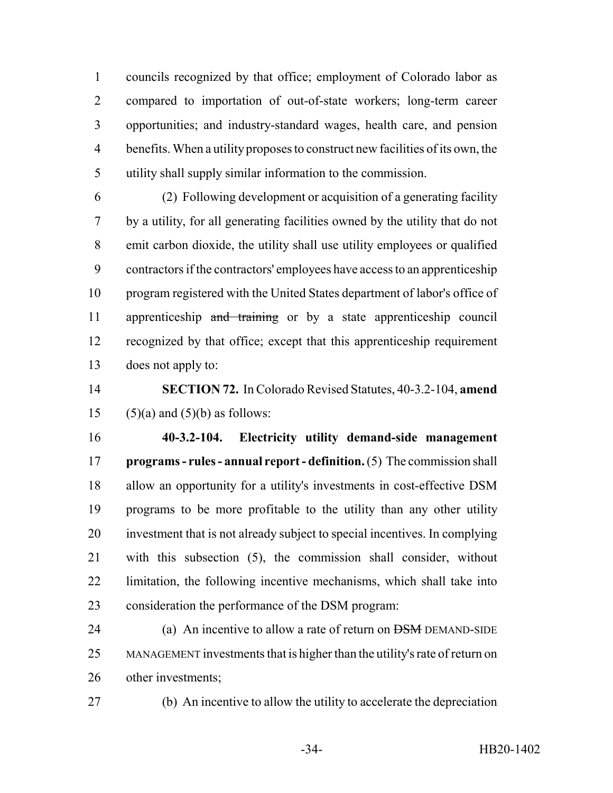councils recognized by that office; employment of Colorado labor as compared to importation of out-of-state workers; long-term career opportunities; and industry-standard wages, health care, and pension benefits. When a utility proposes to construct new facilities of its own, the utility shall supply similar information to the commission.

 (2) Following development or acquisition of a generating facility by a utility, for all generating facilities owned by the utility that do not emit carbon dioxide, the utility shall use utility employees or qualified contractors if the contractors' employees have access to an apprenticeship program registered with the United States department of labor's office of 11 apprenticeship and training or by a state apprenticeship council recognized by that office; except that this apprenticeship requirement does not apply to:

 **SECTION 72.** In Colorado Revised Statutes, 40-3.2-104, **amend** 15  $(5)(a)$  and  $(5)(b)$  as follows:

 **40-3.2-104. Electricity utility demand-side management programs - rules - annual report - definition.** (5) The commission shall allow an opportunity for a utility's investments in cost-effective DSM programs to be more profitable to the utility than any other utility investment that is not already subject to special incentives. In complying with this subsection (5), the commission shall consider, without limitation, the following incentive mechanisms, which shall take into consideration the performance of the DSM program:

24 (a) An incentive to allow a rate of return on <del>DSM</del> DEMAND-SIDE MANAGEMENT investments that is higher than the utility's rate of return on other investments;

(b) An incentive to allow the utility to accelerate the depreciation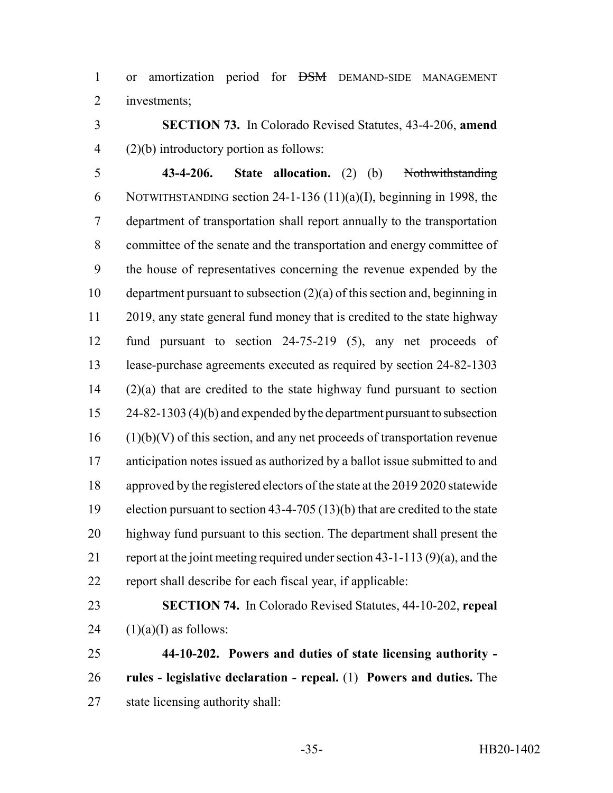or amortization period for DSM DEMAND-SIDE MANAGEMENT investments;

 **SECTION 73.** In Colorado Revised Statutes, 43-4-206, **amend** (2)(b) introductory portion as follows:

 **43-4-206. State allocation.** (2) (b) Nothwithstanding NOTWITHSTANDING section 24-1-136 (11)(a)(I), beginning in 1998, the department of transportation shall report annually to the transportation committee of the senate and the transportation and energy committee of the house of representatives concerning the revenue expended by the department pursuant to subsection (2)(a) of this section and, beginning in 11 2019, any state general fund money that is credited to the state highway fund pursuant to section 24-75-219 (5), any net proceeds of lease-purchase agreements executed as required by section 24-82-1303 (2)(a) that are credited to the state highway fund pursuant to section 24-82-1303 (4)(b) and expended by the department pursuant to subsection (1)(b)(V) of this section, and any net proceeds of transportation revenue anticipation notes issued as authorized by a ballot issue submitted to and 18 approved by the registered electors of the state at the 2019 2020 statewide election pursuant to section 43-4-705 (13)(b) that are credited to the state highway fund pursuant to this section. The department shall present the report at the joint meeting required under section 43-1-113 (9)(a), and the report shall describe for each fiscal year, if applicable:

 **SECTION 74.** In Colorado Revised Statutes, 44-10-202, **repeal** 24  $(1)(a)(I)$  as follows:

 **44-10-202. Powers and duties of state licensing authority - rules - legislative declaration - repeal.** (1) **Powers and duties.** The state licensing authority shall: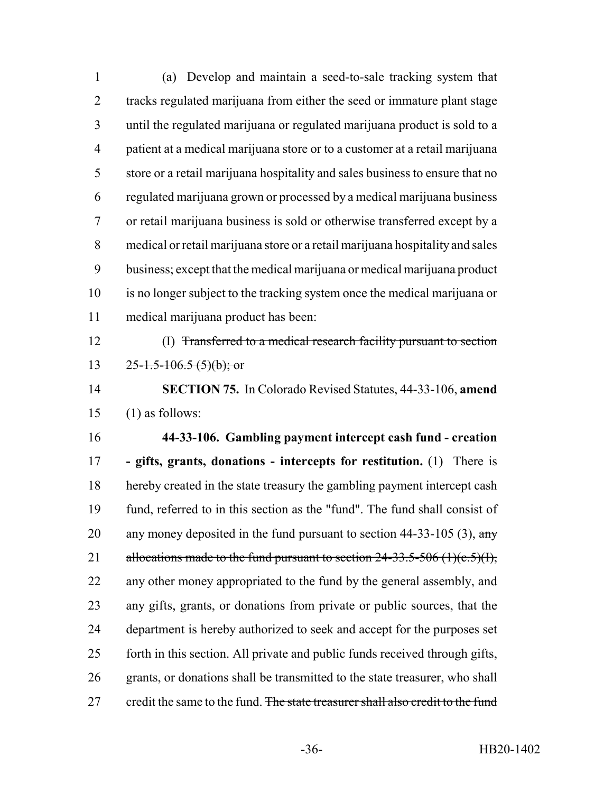(a) Develop and maintain a seed-to-sale tracking system that tracks regulated marijuana from either the seed or immature plant stage until the regulated marijuana or regulated marijuana product is sold to a patient at a medical marijuana store or to a customer at a retail marijuana store or a retail marijuana hospitality and sales business to ensure that no regulated marijuana grown or processed by a medical marijuana business or retail marijuana business is sold or otherwise transferred except by a medical or retail marijuana store or a retail marijuana hospitality and sales business; except that the medical marijuana or medical marijuana product is no longer subject to the tracking system once the medical marijuana or medical marijuana product has been:

 (I) Transferred to a medical research facility pursuant to section 13  $25-1.5-106.5(5)(b)$ ; or

 **SECTION 75.** In Colorado Revised Statutes, 44-33-106, **amend** (1) as follows:

 **44-33-106. Gambling payment intercept cash fund - creation - gifts, grants, donations - intercepts for restitution.** (1) There is hereby created in the state treasury the gambling payment intercept cash fund, referred to in this section as the "fund". The fund shall consist of 20 any money deposited in the fund pursuant to section  $44-33-105$  (3), any 21 allocations made to the fund pursuant to section  $24-33.5-506$  (1)(c.5)(I), any other money appropriated to the fund by the general assembly, and any gifts, grants, or donations from private or public sources, that the department is hereby authorized to seek and accept for the purposes set forth in this section. All private and public funds received through gifts, grants, or donations shall be transmitted to the state treasurer, who shall 27 credit the same to the fund. The state treasurer shall also credit to the fund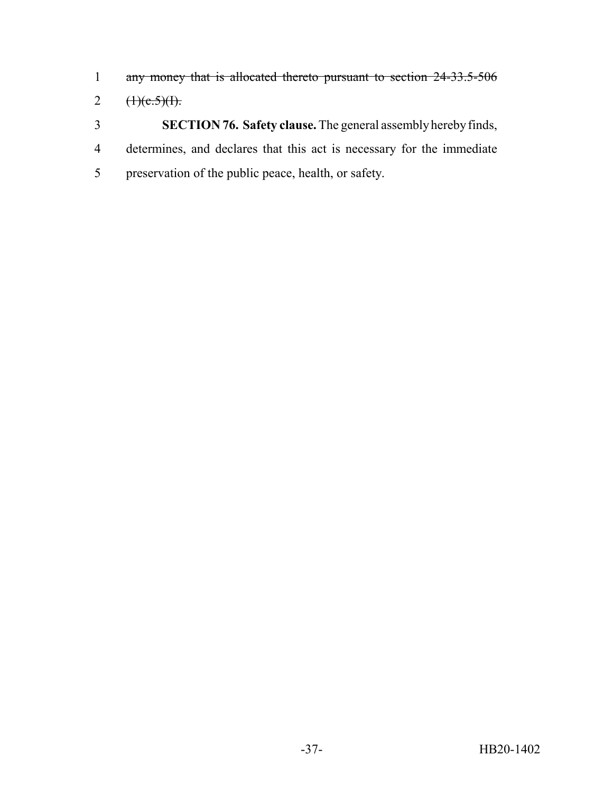- any money that is allocated thereto pursuant to section 24-33.5-506
- 2  $(1)(e.5)(1)$ .
- **SECTION 76. Safety clause.** The general assembly hereby finds, determines, and declares that this act is necessary for the immediate preservation of the public peace, health, or safety.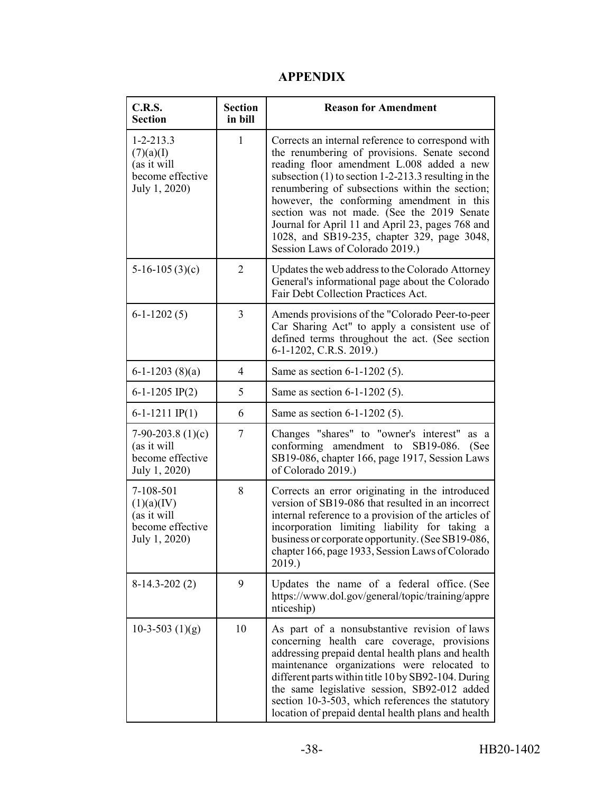## **APPENDIX**

| <b>C.R.S.</b><br><b>Section</b>                                                  | <b>Section</b><br>in bill | <b>Reason for Amendment</b>                                                                                                                                                                                                                                                                                                                                                                                                                                                                 |
|----------------------------------------------------------------------------------|---------------------------|---------------------------------------------------------------------------------------------------------------------------------------------------------------------------------------------------------------------------------------------------------------------------------------------------------------------------------------------------------------------------------------------------------------------------------------------------------------------------------------------|
| $1 - 2 - 213.3$<br>(7)(a)(I)<br>(as it will<br>become effective<br>July 1, 2020) | $\mathbf{1}$              | Corrects an internal reference to correspond with<br>the renumbering of provisions. Senate second<br>reading floor amendment L.008 added a new<br>subsection $(1)$ to section 1-2-213.3 resulting in the<br>renumbering of subsections within the section;<br>however, the conforming amendment in this<br>section was not made. (See the 2019 Senate<br>Journal for April 11 and April 23, pages 768 and<br>1028, and SB19-235, chapter 329, page 3048,<br>Session Laws of Colorado 2019.) |
| $5-16-105(3)(c)$                                                                 | $\overline{2}$            | Updates the web address to the Colorado Attorney<br>General's informational page about the Colorado<br>Fair Debt Collection Practices Act.                                                                                                                                                                                                                                                                                                                                                  |
| $6-1-1202(5)$                                                                    | $\overline{3}$            | Amends provisions of the "Colorado Peer-to-peer<br>Car Sharing Act" to apply a consistent use of<br>defined terms throughout the act. (See section<br>6-1-1202, C.R.S. 2019.)                                                                                                                                                                                                                                                                                                               |
| $6-1-1203(8)(a)$                                                                 | $\overline{4}$            | Same as section 6-1-1202 (5).                                                                                                                                                                                                                                                                                                                                                                                                                                                               |
| 6-1-1205 IP(2)                                                                   | 5                         | Same as section 6-1-1202 (5).                                                                                                                                                                                                                                                                                                                                                                                                                                                               |
| $6-1-1211$ IP(1)                                                                 | 6                         | Same as section 6-1-1202 (5).                                                                                                                                                                                                                                                                                                                                                                                                                                                               |
| 7-90-203.8 $(1)(c)$<br>(as it will<br>become effective<br>July 1, 2020)          | $\tau$                    | Changes "shares" to "owner's interest"<br>as a<br>amendment to SB19-086.<br>conforming<br>(See<br>SB19-086, chapter 166, page 1917, Session Laws<br>of Colorado 2019.)                                                                                                                                                                                                                                                                                                                      |
| 7-108-501<br>(1)(a)(IV)<br>(as it will<br>become effective<br>July 1, 2020)      | 8                         | Corrects an error originating in the introduced<br>version of SB19-086 that resulted in an incorrect<br>internal reference to a provision of the articles of<br>incorporation limiting liability for taking a<br>business or corporate opportunity. (See SB19-086,<br>chapter 166, page 1933, Session Laws of Colorado<br>2019.)                                                                                                                                                            |
| $8-14.3-202(2)$                                                                  | 9                         | Updates the name of a federal office. (See<br>https://www.dol.gov/general/topic/training/appre<br>nticeship)                                                                                                                                                                                                                                                                                                                                                                                |
| 10-3-503 $(1)(g)$                                                                | 10                        | As part of a nonsubstantive revision of laws<br>concerning health care coverage, provisions<br>addressing prepaid dental health plans and health<br>maintenance organizations were relocated to<br>different parts within title 10 by SB92-104. During<br>the same legislative session, SB92-012 added<br>section 10-3-503, which references the statutory<br>location of prepaid dental health plans and health                                                                            |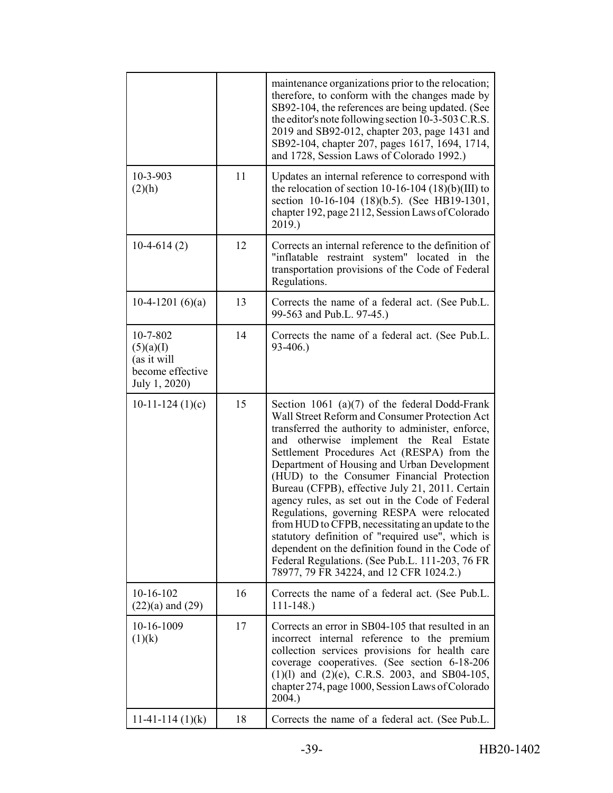|                                                                           |    | maintenance organizations prior to the relocation;<br>therefore, to conform with the changes made by<br>SB92-104, the references are being updated. (See<br>the editor's note following section 10-3-503 C.R.S.<br>2019 and SB92-012, chapter 203, page 1431 and<br>SB92-104, chapter 207, pages 1617, 1694, 1714,<br>and 1728, Session Laws of Colorado 1992.)                                                                                                                                                                                                                                                                                                                                                                                                 |
|---------------------------------------------------------------------------|----|-----------------------------------------------------------------------------------------------------------------------------------------------------------------------------------------------------------------------------------------------------------------------------------------------------------------------------------------------------------------------------------------------------------------------------------------------------------------------------------------------------------------------------------------------------------------------------------------------------------------------------------------------------------------------------------------------------------------------------------------------------------------|
| 10-3-903<br>(2)(h)                                                        | 11 | Updates an internal reference to correspond with<br>the relocation of section 10-16-104 $(18)(b)(III)$ to<br>section 10-16-104 (18)(b.5). (See HB19-1301,<br>chapter 192, page 2112, Session Laws of Colorado<br>2019.)                                                                                                                                                                                                                                                                                                                                                                                                                                                                                                                                         |
| $10-4-614(2)$                                                             | 12 | Corrects an internal reference to the definition of<br>"inflatable restraint system" located in the<br>transportation provisions of the Code of Federal<br>Regulations.                                                                                                                                                                                                                                                                                                                                                                                                                                                                                                                                                                                         |
| 10-4-1201 $(6)(a)$                                                        | 13 | Corrects the name of a federal act. (See Pub.L.<br>99-563 and Pub.L. 97-45.)                                                                                                                                                                                                                                                                                                                                                                                                                                                                                                                                                                                                                                                                                    |
| 10-7-802<br>(5)(a)(I)<br>(as it will<br>become effective<br>July 1, 2020) | 14 | Corrects the name of a federal act. (See Pub.L.<br>$93-406.$                                                                                                                                                                                                                                                                                                                                                                                                                                                                                                                                                                                                                                                                                                    |
| $10-11-124(1)(c)$                                                         | 15 | Section 1061 (a) $(7)$ of the federal Dodd-Frank<br>Wall Street Reform and Consumer Protection Act<br>transferred the authority to administer, enforce,<br>otherwise implement the Real Estate<br>and<br>Settlement Procedures Act (RESPA) from the<br>Department of Housing and Urban Development<br>(HUD) to the Consumer Financial Protection<br>Bureau (CFPB), effective July 21, 2011. Certain<br>agency rules, as set out in the Code of Federal<br>Regulations, governing RESPA were relocated<br>from HUD to CFPB, necessitating an update to the<br>statutory definition of "required use", which is<br>dependent on the definition found in the Code of<br>Federal Regulations. (See Pub.L. 111-203, 76 FR<br>78977, 79 FR 34224, and 12 CFR 1024.2.) |
| $10-16-102$<br>$(22)(a)$ and $(29)$                                       | 16 | Corrects the name of a federal act. (See Pub.L.<br>$111 - 148.$                                                                                                                                                                                                                                                                                                                                                                                                                                                                                                                                                                                                                                                                                                 |
| 10-16-1009<br>(1)(k)                                                      | 17 | Corrects an error in SB04-105 that resulted in an<br>incorrect internal reference to the premium<br>collection services provisions for health care<br>coverage cooperatives. (See section 6-18-206<br>$(1)(1)$ and $(2)(e)$ , C.R.S. 2003, and SB04-105,<br>chapter 274, page 1000, Session Laws of Colorado<br>2004.)                                                                                                                                                                                                                                                                                                                                                                                                                                          |
| $11-41-114(1)(k)$                                                         | 18 | Corrects the name of a federal act. (See Pub.L.                                                                                                                                                                                                                                                                                                                                                                                                                                                                                                                                                                                                                                                                                                                 |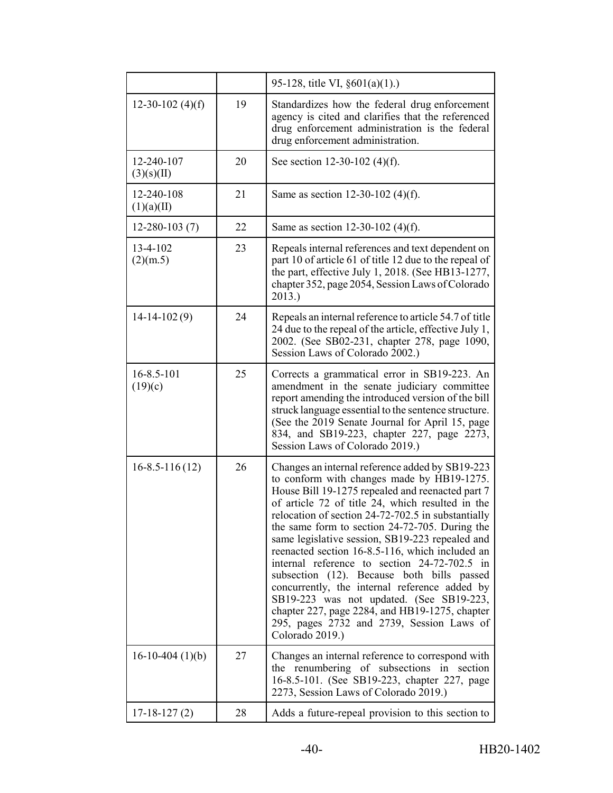|                          |    | 95-128, title VI, $\S601(a)(1)$ .)                                                                                                                                                                                                                                                                                                                                                                                                                                                                                                                                                                                                                                                                                               |
|--------------------------|----|----------------------------------------------------------------------------------------------------------------------------------------------------------------------------------------------------------------------------------------------------------------------------------------------------------------------------------------------------------------------------------------------------------------------------------------------------------------------------------------------------------------------------------------------------------------------------------------------------------------------------------------------------------------------------------------------------------------------------------|
| $12-30-102$ (4)(f)       | 19 | Standardizes how the federal drug enforcement<br>agency is cited and clarifies that the referenced<br>drug enforcement administration is the federal<br>drug enforcement administration.                                                                                                                                                                                                                                                                                                                                                                                                                                                                                                                                         |
| 12-240-107<br>(3)(s)(II) | 20 | See section 12-30-102 (4)(f).                                                                                                                                                                                                                                                                                                                                                                                                                                                                                                                                                                                                                                                                                                    |
| 12-240-108<br>(1)(a)(II) | 21 | Same as section 12-30-102 (4)(f).                                                                                                                                                                                                                                                                                                                                                                                                                                                                                                                                                                                                                                                                                                |
| $12 - 280 - 103(7)$      | 22 | Same as section 12-30-102 (4)(f).                                                                                                                                                                                                                                                                                                                                                                                                                                                                                                                                                                                                                                                                                                |
| 13-4-102<br>(2)(m.5)     | 23 | Repeals internal references and text dependent on<br>part 10 of article 61 of title 12 due to the repeal of<br>the part, effective July 1, 2018. (See HB13-1277,<br>chapter 352, page 2054, Session Laws of Colorado<br>2013.)                                                                                                                                                                                                                                                                                                                                                                                                                                                                                                   |
| $14-14-102(9)$           | 24 | Repeals an internal reference to article 54.7 of title<br>24 due to the repeal of the article, effective July 1,<br>2002. (See SB02-231, chapter 278, page 1090,<br>Session Laws of Colorado 2002.)                                                                                                                                                                                                                                                                                                                                                                                                                                                                                                                              |
| 16-8.5-101<br>(19)(c)    | 25 | Corrects a grammatical error in SB19-223. An<br>amendment in the senate judiciary committee<br>report amending the introduced version of the bill<br>struck language essential to the sentence structure.<br>(See the 2019 Senate Journal for April 15, page<br>834, and SB19-223, chapter 227, page 2273,<br>Session Laws of Colorado 2019.)                                                                                                                                                                                                                                                                                                                                                                                    |
| $16 - 8.5 - 116(12)$     | 26 | Changes an internal reference added by SB19-223<br>to conform with changes made by HB19-1275.<br>House Bill 19-1275 repealed and reenacted part 7<br>of article 72 of title 24, which resulted in the<br>relocation of section 24-72-702.5 in substantially<br>the same form to section 24-72-705. During the<br>same legislative session, SB19-223 repealed and<br>reenacted section 16-8.5-116, which included an<br>internal reference to section 24-72-702.5 in<br>subsection (12). Because both bills passed<br>concurrently, the internal reference added by<br>SB19-223 was not updated. (See SB19-223,<br>chapter 227, page 2284, and HB19-1275, chapter<br>295, pages 2732 and 2739, Session Laws of<br>Colorado 2019.) |
| $16-10-404(1)(b)$        | 27 | Changes an internal reference to correspond with<br>the renumbering of subsections<br>in<br>section<br>16-8.5-101. (See SB19-223, chapter 227, page<br>2273, Session Laws of Colorado 2019.)                                                                                                                                                                                                                                                                                                                                                                                                                                                                                                                                     |
| $17-18-127(2)$           | 28 | Adds a future-repeal provision to this section to                                                                                                                                                                                                                                                                                                                                                                                                                                                                                                                                                                                                                                                                                |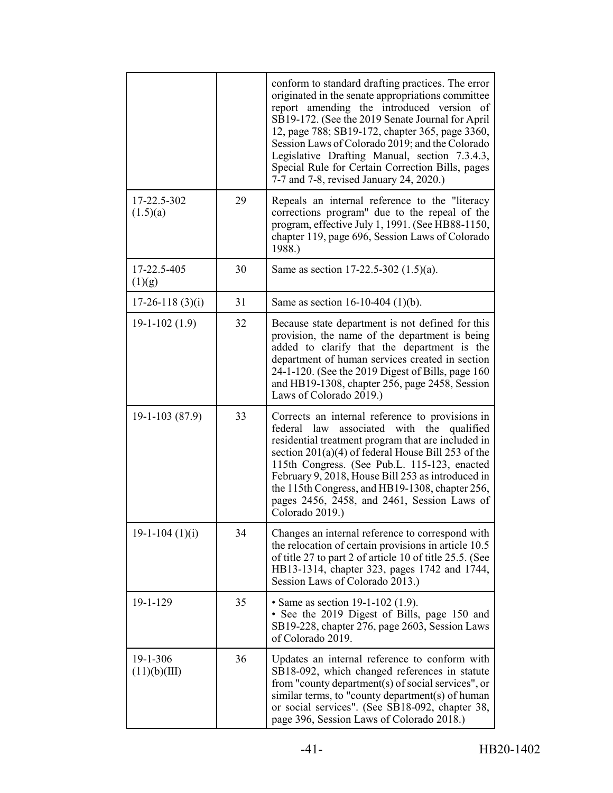|                          |    | conform to standard drafting practices. The error<br>originated in the senate appropriations committee<br>report amending the introduced version of<br>SB19-172. (See the 2019 Senate Journal for April<br>12, page 788; SB19-172, chapter 365, page 3360,<br>Session Laws of Colorado 2019; and the Colorado<br>Legislative Drafting Manual, section 7.3.4.3,<br>Special Rule for Certain Correction Bills, pages<br>7-7 and 7-8, revised January 24, 2020.) |
|--------------------------|----|---------------------------------------------------------------------------------------------------------------------------------------------------------------------------------------------------------------------------------------------------------------------------------------------------------------------------------------------------------------------------------------------------------------------------------------------------------------|
| 17-22.5-302<br>(1.5)(a)  | 29 | Repeals an internal reference to the "literacy<br>corrections program" due to the repeal of the<br>program, effective July 1, 1991. (See HB88-1150,<br>chapter 119, page 696, Session Laws of Colorado<br>1988.)                                                                                                                                                                                                                                              |
| 17-22.5-405<br>(1)(g)    | 30 | Same as section 17-22.5-302 $(1.5)(a)$ .                                                                                                                                                                                                                                                                                                                                                                                                                      |
| $17-26-118(3)(i)$        | 31 | Same as section $16-10-404$ (1)(b).                                                                                                                                                                                                                                                                                                                                                                                                                           |
| $19-1-102(1.9)$          | 32 | Because state department is not defined for this<br>provision, the name of the department is being<br>added to clarify that the department is the<br>department of human services created in section<br>24-1-120. (See the 2019 Digest of Bills, page 160<br>and HB19-1308, chapter 256, page 2458, Session<br>Laws of Colorado 2019.)                                                                                                                        |
| $19-1-103(87.9)$         | 33 | Corrects an internal reference to provisions in<br>federal<br>associated with the<br>law<br>qualified<br>residential treatment program that are included in<br>section $201(a)(4)$ of federal House Bill 253 of the<br>115th Congress. (See Pub.L. 115-123, enacted<br>February 9, 2018, House Bill 253 as introduced in<br>the 115th Congress, and HB19-1308, chapter 256,<br>pages 2456, 2458, and 2461, Session Laws of<br>Colorado 2019.)                 |
| $19-1-104(1)(i)$         | 34 | Changes an internal reference to correspond with<br>the relocation of certain provisions in article 10.5<br>of title 27 to part 2 of article 10 of title 25.5. (See<br>HB13-1314, chapter 323, pages 1742 and 1744,<br>Session Laws of Colorado 2013.)                                                                                                                                                                                                        |
| 19-1-129                 | 35 | • Same as section $19-1-102$ (1.9).<br>• See the 2019 Digest of Bills, page 150 and<br>SB19-228, chapter 276, page 2603, Session Laws<br>of Colorado 2019.                                                                                                                                                                                                                                                                                                    |
| 19-1-306<br>(11)(b)(III) | 36 | Updates an internal reference to conform with<br>SB18-092, which changed references in statute<br>from "county department(s) of social services", or<br>similar terms, to "county department(s) of human<br>or social services". (See SB18-092, chapter 38,<br>page 396, Session Laws of Colorado 2018.)                                                                                                                                                      |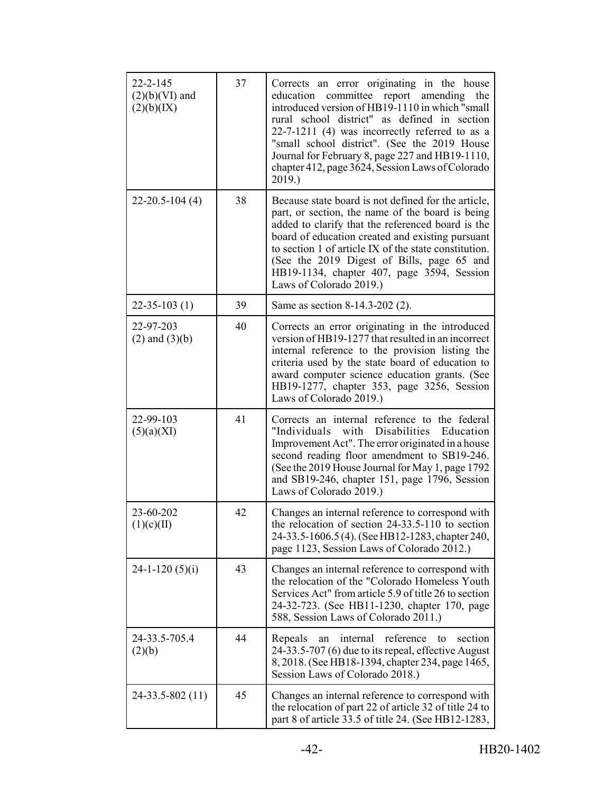| $22 - 2 - 145$<br>$(2)(b)(VI)$ and<br>(2)(b)(IX) | 37 | Corrects an error originating in the house<br>education committee report amending<br>the<br>introduced version of HB19-1110 in which "small<br>rural school district" as defined in section<br>$22-7-1211$ (4) was incorrectly referred to as a<br>"small school district". (See the 2019 House<br>Journal for February 8, page 227 and HB19-1110,<br>chapter 412, page 3624, Session Laws of Colorado<br>2019.) |
|--------------------------------------------------|----|------------------------------------------------------------------------------------------------------------------------------------------------------------------------------------------------------------------------------------------------------------------------------------------------------------------------------------------------------------------------------------------------------------------|
| $22 - 20.5 - 104(4)$                             | 38 | Because state board is not defined for the article,<br>part, or section, the name of the board is being<br>added to clarify that the referenced board is the<br>board of education created and existing pursuant<br>to section 1 of article IX of the state constitution.<br>(See the 2019 Digest of Bills, page 65 and<br>HB19-1134, chapter 407, page 3594, Session<br>Laws of Colorado 2019.)                 |
| $22 - 35 - 103(1)$                               | 39 | Same as section 8-14.3-202 (2).                                                                                                                                                                                                                                                                                                                                                                                  |
| 22-97-203<br>$(2)$ and $(3)(b)$                  | 40 | Corrects an error originating in the introduced<br>version of HB19-1277 that resulted in an incorrect<br>internal reference to the provision listing the<br>criteria used by the state board of education to<br>award computer science education grants. (See<br>HB19-1277, chapter 353, page 3256, Session<br>Laws of Colorado 2019.)                                                                           |
| 22-99-103<br>(5)(a)(XI)                          | 41 | Corrects an internal reference to the federal<br>Disabilities Education<br>"Individuals<br>with<br>Improvement Act". The error originated in a house<br>second reading floor amendment to SB19-246.<br>(See the 2019 House Journal for May 1, page 1792)<br>and SB19-246, chapter 151, page 1796, Session<br>Laws of Colorado 2019.)                                                                             |
| 23-60-202<br>(1)(c)(II)                          | 42 | Changes an internal reference to correspond with<br>the relocation of section 24-33.5-110 to section<br>24-33.5-1606.5(4). (See HB12-1283, chapter 240,<br>page 1123, Session Laws of Colorado 2012.)                                                                                                                                                                                                            |
| $24-1-120(5)(i)$                                 | 43 | Changes an internal reference to correspond with<br>the relocation of the "Colorado Homeless Youth<br>Services Act" from article 5.9 of title 26 to section<br>24-32-723. (See HB11-1230, chapter 170, page<br>588, Session Laws of Colorado 2011.)                                                                                                                                                              |
| 24-33.5-705.4<br>(2)(b)                          | 44 | reference<br>section<br>Repeals<br>internal<br>to<br>an<br>24-33.5-707 (6) due to its repeal, effective August<br>8, 2018. (See HB18-1394, chapter 234, page 1465,<br>Session Laws of Colorado 2018.)                                                                                                                                                                                                            |
| $24 - 33.5 - 802(11)$                            | 45 | Changes an internal reference to correspond with<br>the relocation of part 22 of article 32 of title 24 to<br>part 8 of article 33.5 of title 24. (See HB12-1283,                                                                                                                                                                                                                                                |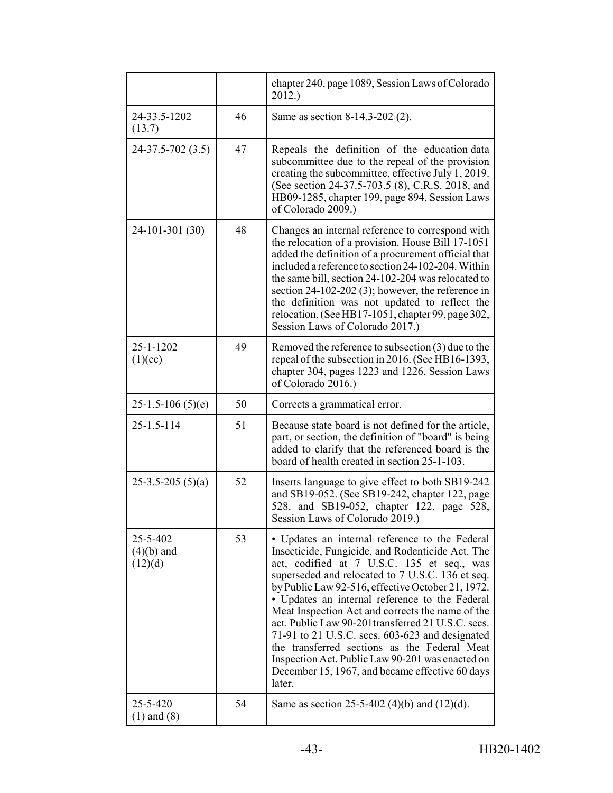|                                     |    | chapter 240, page 1089, Session Laws of Colorado<br>2012.                                                                                                                                                                                                                                                                                                                                                                                                                                                                                                                                                                                   |
|-------------------------------------|----|---------------------------------------------------------------------------------------------------------------------------------------------------------------------------------------------------------------------------------------------------------------------------------------------------------------------------------------------------------------------------------------------------------------------------------------------------------------------------------------------------------------------------------------------------------------------------------------------------------------------------------------------|
| 24-33.5-1202<br>(13.7)              | 46 | Same as section 8-14.3-202 (2).                                                                                                                                                                                                                                                                                                                                                                                                                                                                                                                                                                                                             |
| 24-37.5-702 (3.5)                   | 47 | Repeals the definition of the education data<br>subcommittee due to the repeal of the provision<br>creating the subcommittee, effective July 1, 2019.<br>(See section 24-37.5-703.5 (8), C.R.S. 2018, and<br>HB09-1285, chapter 199, page 894, Session Laws<br>of Colorado 2009.)                                                                                                                                                                                                                                                                                                                                                           |
| 24-101-301 (30)                     | 48 | Changes an internal reference to correspond with<br>the relocation of a provision. House Bill 17-1051<br>added the definition of a procurement official that<br>included a reference to section 24-102-204. Within<br>the same bill, section 24-102-204 was relocated to<br>section $24-102-202$ (3); however, the reference in<br>the definition was not updated to reflect the<br>relocation. (See HB17-1051, chapter 99, page 302,<br>Session Laws of Colorado 2017.)                                                                                                                                                                    |
| 25-1-1202<br>(1)(cc)                | 49 | Removed the reference to subsection $(3)$ due to the<br>repeal of the subsection in 2016. (See HB16-1393,<br>chapter 304, pages 1223 and 1226, Session Laws<br>of Colorado 2016.)                                                                                                                                                                                                                                                                                                                                                                                                                                                           |
| $25-1.5-106(5)(e)$                  | 50 | Corrects a grammatical error.                                                                                                                                                                                                                                                                                                                                                                                                                                                                                                                                                                                                               |
| 25-1.5-114                          | 51 | Because state board is not defined for the article,<br>part, or section, the definition of "board" is being<br>added to clarify that the referenced board is the<br>board of health created in section 25-1-103.                                                                                                                                                                                                                                                                                                                                                                                                                            |
| $25-3.5-205(5)(a)$                  | 52 | Inserts language to give effect to both SB19-242<br>and SB19-052. (See SB19-242, chapter 122, page<br>528, and SB19-052, chapter 122, page 528,<br>Session Laws of Colorado 2019.)                                                                                                                                                                                                                                                                                                                                                                                                                                                          |
| 25-5-402<br>$(4)(b)$ and<br>(12)(d) | 53 | • Updates an internal reference to the Federal<br>Insecticide, Fungicide, and Rodenticide Act. The<br>act, codified at 7 U.S.C. 135 et seq., was<br>superseded and relocated to 7 U.S.C. 136 et seq.<br>by Public Law 92-516, effective October 21, 1972.<br>• Updates an internal reference to the Federal<br>Meat Inspection Act and corrects the name of the<br>act. Public Law 90-201 transferred 21 U.S.C. secs.<br>71-91 to 21 U.S.C. secs. $603-623$ and designated<br>the transferred sections as the Federal Meat<br>Inspection Act. Public Law 90-201 was enacted on<br>December 15, 1967, and became effective 60 days<br>later. |
| 25-5-420<br>$(1)$ and $(8)$         | 54 | Same as section 25-5-402 (4)(b) and (12)(d).                                                                                                                                                                                                                                                                                                                                                                                                                                                                                                                                                                                                |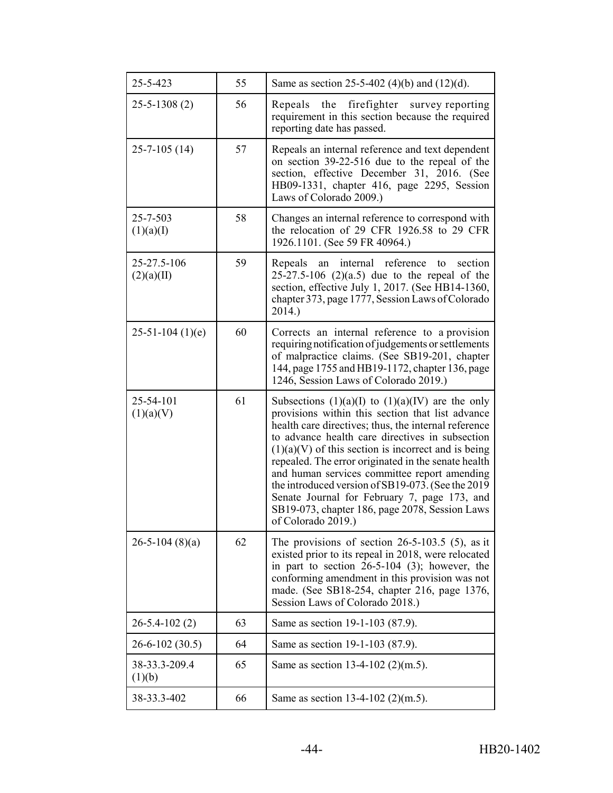| 25-5-423                  | 55 | Same as section 25-5-402 (4)(b) and (12)(d).                                                                                                                                                                                                                                                                                                                                                                                                                                                                                                                     |
|---------------------------|----|------------------------------------------------------------------------------------------------------------------------------------------------------------------------------------------------------------------------------------------------------------------------------------------------------------------------------------------------------------------------------------------------------------------------------------------------------------------------------------------------------------------------------------------------------------------|
| $25 - 5 - 1308(2)$        | 56 | Repeals the firefighter survey reporting<br>requirement in this section because the required<br>reporting date has passed.                                                                                                                                                                                                                                                                                                                                                                                                                                       |
| $25 - 7 - 105(14)$        | 57 | Repeals an internal reference and text dependent<br>on section 39-22-516 due to the repeal of the<br>section, effective December 31, 2016. (See<br>HB09-1331, chapter 416, page 2295, Session<br>Laws of Colorado 2009.)                                                                                                                                                                                                                                                                                                                                         |
| 25-7-503<br>(1)(a)(I)     | 58 | Changes an internal reference to correspond with<br>the relocation of 29 CFR 1926.58 to 29 CFR<br>1926.1101. (See 59 FR 40964.)                                                                                                                                                                                                                                                                                                                                                                                                                                  |
| 25-27.5-106<br>(2)(a)(II) | 59 | internal<br>reference<br>section<br>Repeals<br>an<br>to<br>25-27.5-106 $(2)(a.5)$ due to the repeal of the<br>section, effective July 1, 2017. (See HB14-1360,<br>chapter 373, page 1777, Session Laws of Colorado<br>2014.)                                                                                                                                                                                                                                                                                                                                     |
| $25-51-104(1)(e)$         | 60 | Corrects an internal reference to a provision<br>requiring notification of judgements or settlements<br>of malpractice claims. (See SB19-201, chapter<br>144, page 1755 and HB19-1172, chapter 136, page<br>1246, Session Laws of Colorado 2019.)                                                                                                                                                                                                                                                                                                                |
| 25-54-101<br>(1)(a)(V)    | 61 | Subsections $(1)(a)(I)$ to $(1)(a)(IV)$ are the only<br>provisions within this section that list advance<br>health care directives; thus, the internal reference<br>to advance health care directives in subsection<br>$(1)(a)(V)$ of this section is incorrect and is being<br>repealed. The error originated in the senate health<br>and human services committee report amending<br>the introduced version of SB19-073. (See the 2019<br>Senate Journal for February 7, page 173, and<br>SB19-073, chapter 186, page 2078, Session Laws<br>of Colorado 2019.) |
| $26 - 5 - 104$ (8)(a)     | 62 | The provisions of section $26-5-103.5$ (5), as it<br>existed prior to its repeal in 2018, were relocated<br>in part to section $26-5-104$ (3); however, the<br>conforming amendment in this provision was not<br>made. (See SB18-254, chapter 216, page 1376,<br>Session Laws of Colorado 2018.)                                                                                                                                                                                                                                                                 |
| $26 - 5.4 - 102(2)$       | 63 | Same as section 19-1-103 (87.9).                                                                                                                                                                                                                                                                                                                                                                                                                                                                                                                                 |
| $26 - 6 - 102(30.5)$      | 64 | Same as section 19-1-103 (87.9).                                                                                                                                                                                                                                                                                                                                                                                                                                                                                                                                 |
| 38-33.3-209.4<br>(1)(b)   | 65 | Same as section 13-4-102 (2)(m.5).                                                                                                                                                                                                                                                                                                                                                                                                                                                                                                                               |
| 38-33.3-402               | 66 | Same as section 13-4-102 $(2)(m.5)$ .                                                                                                                                                                                                                                                                                                                                                                                                                                                                                                                            |